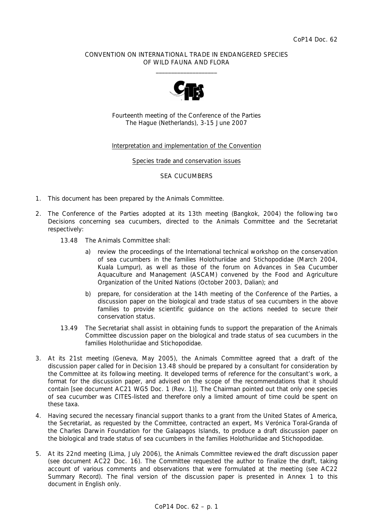#### CONVENTION ON INTERNATIONAL TRADE IN ENDANGERED SPECIES OF WILD FAUNA AND FLORA  $\frac{1}{2}$  , and the set of the set of the set of the set of the set of the set of the set of the set of the set of the set of the set of the set of the set of the set of the set of the set of the set of the set of the set



Fourteenth meeting of the Conference of the Parties The Hague (Netherlands), 3-15 June 2007

#### Interpretation and implementation of the Convention

#### Species trade and conservation issues

#### SEA CUCUMBERS

- 1. This document has been prepared by the Animals Committee.
- 2. The Conference of the Parties adopted at its 13th meeting (Bangkok, 2004) the following two Decisions concerning sea cucumbers, directed to the Animals Committee and the Secretariat respectively:
	- *13.48 The Animals Committee shall:* 
		- *a) review the proceedings of the International technical workshop on the conservation of sea cucumbers in the families Holothuriidae and Stichopodidae (March 2004, Kuala Lumpur), as well as those of the forum on Advances in Sea Cucumber Aquaculture and Management (ASCAM) convened by the Food and Agriculture Organization of the United Nations (October 2003, Dalian); and*
		- *b) prepare, for consideration at the 14th meeting of the Conference of the Parties, a discussion paper on the biological and trade status of sea cucumbers in the above*  families to provide scientific guidance on the actions needed to secure their *conservation status.*
	- *13.49 The Secretariat shall assist in obtaining funds to support the preparation of the Animals Committee discussion paper on the biological and trade status of sea cucumbers in the families Holothuriidae and Stichopodidae.*
- 3. At its 21st meeting (Geneva, May 2005), the Animals Committee agreed that a draft of the discussion paper called for in Decision 13.48 should be prepared by a consultant for consideration by the Committee at its following meeting. It developed terms of reference for the consultant's work, a format for the discussion paper, and advised on the scope of the recommendations that it should contain [see document AC21 WG5 Doc. 1 (Rev. 1)]. The Chairman pointed out that only one species of sea cucumber was CITES-listed and therefore only a limited amount of time could be spent on these taxa.
- 4. Having secured the necessary financial support thanks to a grant from the United States of America, the Secretariat, as requested by the Committee, contracted an expert, Ms Verónica Toral-Granda of the Charles Darwin Foundation for the Galapagos Islands, to produce a draft discussion paper on the biological and trade status of sea cucumbers in the families Holothuriidae and Stichopodidae.
- 5. At its 22nd meeting (Lima, July 2006), the Animals Committee reviewed the draft discussion paper (see document AC22 Doc. 16). The Committee requested the author to finalize the draft, taking account of various comments and observations that were formulated at the meeting (see AC22 Summary Record). The final version of the discussion paper is presented in Annex 1 to this document in English only.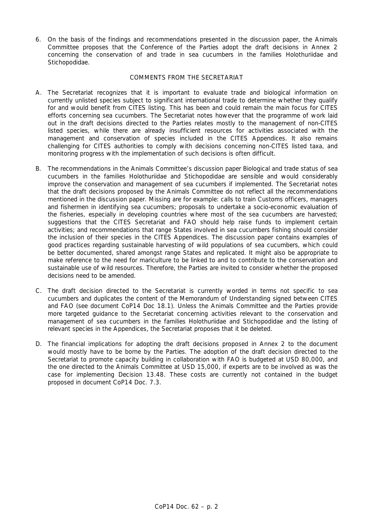6. On the basis of the findings and recommendations presented in the discussion paper, the Animals Committee proposes that the Conference of the Parties adopt the draft decisions in Annex 2 concerning the conservation of and trade in sea cucumbers in the families Holothuriidae and Stichopodidae.

#### COMMENTS FROM THE SECRETARIAT

- A. The Secretariat recognizes that it is important to evaluate trade and biological information on currently unlisted species subject to significant international trade to determine whether they qualify for and would benefit from CITES listing. This has been and could remain the main focus for CITES efforts concerning sea cucumbers. The Secretariat notes however that the programme of work laid out in the draft decisions directed to the Parties relates mostly to the management of non-CITES listed species, while there are already insufficient resources for activities associated with the management and conservation of species included in the CITES Appendices. It also remains challenging for CITES authorities to comply with decisions concerning non-CITES listed taxa, and monitoring progress with the implementation of such decisions is often difficult.
- B. The recommendations in the Animals Committee's discussion paper *Biological and trade status of sea cucumbers in the families Holothuriidae and Stichopodidae* are sensible and would considerably improve the conservation and management of sea cucumbers if implemented. The Secretariat notes that the draft decisions proposed by the Animals Committee do not reflect all the recommendations mentioned in the discussion paper. Missing are for example: calls to train Customs officers, managers and fishermen in identifying sea cucumbers; proposals to undertake a socio-economic evaluation of the fisheries, especially in developing countries where most of the sea cucumbers are harvested; suggestions that the CITES Secretariat and FAO should help raise funds to implement certain activities; and recommendations that range States involved in sea cucumbers fishing should consider the inclusion of their species in the CITES Appendices. The discussion paper contains examples of good practices regarding sustainable harvesting of wild populations of sea cucumbers, which could be better documented, shared amongst range States and replicated. It might also be appropriate to make reference to the need for mariculture to be linked to and to contribute to the conservation and sustainable use of wild resources. Therefore, the Parties are invited to consider whether the proposed decisions need to be amended.
- C. The draft decision directed to the Secretariat is currently worded in terms not specific to sea cucumbers and duplicates the content of the Memorandum of Understanding signed between CITES and FAO (see document CoP14 Doc 18.1). Unless the Animals Committee and the Parties provide more targeted guidance to the Secretariat concerning activities relevant to the conservation and management of sea cucumbers in the families Holothuriidae and Stichopodidae and the listing of relevant species in the Appendices, the Secretariat proposes that it be deleted.
- D. The financial implications for adopting the draft decisions proposed in Annex 2 to the document would mostly have to be borne by the Parties. The adoption of the draft decision directed to the Secretariat to promote capacity building in collaboration with FAO is budgeted at USD 80,000, and the one directed to the Animals Committee at USD 15,000, if experts are to be involved as was the case for implementing Decision 13.48. These costs are currently not contained in the budget proposed in document CoP14 Doc. 7.3.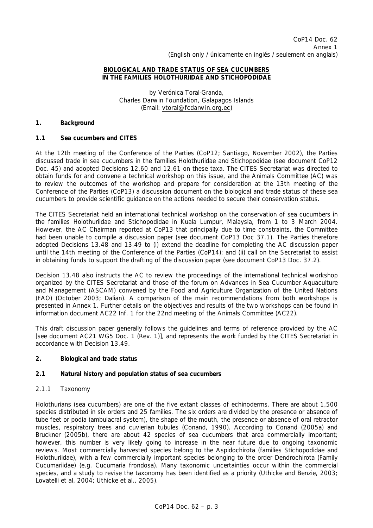### **BIOLOGICAL AND TRADE STATUS OF SEA CUCUMBERS IN THE FAMILIES HOLOTHURIIDAE AND STICHOPODIDAE**

by Verónica Toral-Granda, Charles Darwin Foundation, Galapagos Islands (Email: vtoral@fcdarwin.org.ec)

#### **1. Background**

### **1.1 Sea cucumbers and CITES**

At the 12th meeting of the Conference of the Parties (CoP12; Santiago, November 2002), the Parties discussed trade in sea cucumbers in the families Holothuriidae and Stichopodidae (see document CoP12 Doc. 45) and adopted Decisions 12.60 and 12.61 on these taxa. The CITES Secretariat was directed to obtain funds for and convene a technical workshop on this issue, and the Animals Committee (AC) was to review the outcomes of the workshop and prepare for consideration at the 13th meeting of the Conference of the Parties (CoP13) a discussion document on the biological and trade status of these sea cucumbers to provide scientific guidance on the actions needed to secure their conservation status.

The CITES Secretariat held an international technical workshop on the conservation of sea cucumbers in the families Holothuriidae and Stichopodidae in Kuala Lumpur, Malaysia, from 1 to 3 March 2004. However, the AC Chairman reported at CoP13 that principally due to time constraints, the Committee had been unable to compile a discussion paper (see document CoP13 Doc 37.1). The Parties therefore adopted Decisions 13.48 and 13.49 to (i) extend the deadline for completing the AC discussion paper until the 14th meeting of the Conference of the Parties (CoP14); and (ii) call on the Secretariat to assist in obtaining funds to support the drafting of the discussion paper (see document CoP13 Doc. 37.2).

Decision 13.48 also instructs the AC to review the proceedings of the international technical workshop organized by the CITES Secretariat and those of the forum on Advances in Sea Cucumber Aquaculture and Management (ASCAM) convened by the Food and Agriculture Organization of the United Nations (FAO) (October 2003; Dalian). A comparison of the main recommendations from both workshops is presented in Annex 1. Further details on the objectives and results of the two workshops can be found in information document AC22 Inf. 1 for the 22nd meeting of the Animals Committee (AC22).

This draft discussion paper generally follows the guidelines and terms of reference provided by the AC [see document AC21 WG5 Doc. 1 (Rev. 1)], and represents the work funded by the CITES Secretariat in accordance with Decision 13.49.

### **2. Biological and trade status**

#### **2.1 Natural history and population status of sea cucumbers**

### *2.1.1 Taxonomy*

Holothurians (sea cucumbers) are one of the five extant classes of echinoderms. There are about 1,500 species distributed in six orders and 25 families. The six orders are divided by the presence or absence of tube feet or podia (ambulacral system), the shape of the mouth, the presence or absence of oral retractor muscles, respiratory trees and cuvierian tubules (Conand, 1990). According to Conand (2005a) and Bruckner (2005b), there are about 42 species of sea cucumbers that area commercially important; however, this number is very likely going to increase in the near future due to ongoing taxonomic reviews. Most commercially harvested species belong to the Aspidochirota (families Stichopodidae and Holothuriidae), with a few commercially important species belonging to the order Dendrochirota (Family Cucumariidae) (e.g. *Cucumaria frondosa*). Many taxonomic uncertainties occur within the commercial species, and a study to revise the taxonomy has been identified as a priority (Uthicke and Benzie, 2003; Lovatelli *et al*, 2004; Uthicke *et al.,* 2005).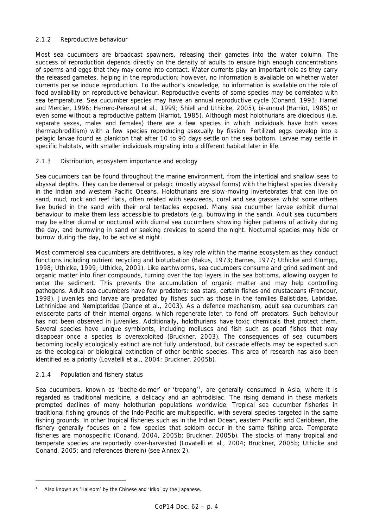# *2.1.2 Reproductive behaviour*

Most sea cucumbers are broadcast spawners, releasing their gametes into the water column. The success of reproduction depends directly on the density of adults to ensure high enough concentrations of sperms and eggs that they may come into contact. Water currents play an important role as they carry the released gametes, helping in the reproduction; however, no information is available on whether water currents *per se* induce reproduction. To the author's knowledge, no information is available on the role of food availability on reproductive behaviour. Reproductive events of some species may be correlated with sea temperature. Sea cucumber species may have an annual reproductive cycle (Conand, 1993; Hamel and Mercier, 1996; Herrero-Perezrul *et al*., 1999; Shiell and Uthicke, 2005), bi-annual (Harriot, 1985) or even some without a reproductive pattern (Harriot, 1985). Although most holothurians are dioecious (i.e. separate sexes, males and females) there are a few species in which individuals have both sexes (hermaphroditism) with a few species reproducing asexually by fission. Fertilized eggs develop into a pelagic larvae found as plankton that after 10 to 90 days settle on the sea bottom. Larvae may settle in specific habitats, with smaller individuals migrating into a different habitat later in life.

# *2.1.3 Distribution, ecosystem importance and ecology*

Sea cucumbers can be found throughout the marine environment, from the intertidal and shallow seas to abyssal depths. They can be demersal or pelagic (mostly abyssal forms) with the highest species diversity in the Indian and western Pacific Oceans. Holothurians are slow-moving invertebrates that can live on sand, mud, rock and reef flats, often related with seaweeds, coral and sea grasses whilst some others live buried in the sand with their oral tentacles exposed. Many sea cucumber larvae exhibit diurnal behaviour to make them less accessible to predators (e.g. burrowing in the sand). Adult sea cucumbers may be either diurnal or nocturnal with diurnal sea cucumbers showing higher patterns of activity during the day, and burrowing in sand or seeking crevices to spend the night. Nocturnal species may hide or burrow during the day, to be active at night.

Most commercial sea cucumbers are detritivores, a key role within the marine ecosystem as they conduct functions including nutrient recycling and bioturbation (Bakus, 1973; Barnes, 1977; Uthicke and Klumpp, 1998; Uthicke, 1999; Uthicke, 2001). Like earthworms, sea cucumbers consume and grind sediment and organic matter into finer compounds, turning over the top layers in the sea bottoms, allowing oxygen to enter the sediment. This prevents the accumulation of organic matter and may help controlling pathogens. Adult sea cucumbers have few predators: sea stars, certain fishes and crustaceans (Francour, 1998). Juveniles and larvae are predated by fishes such as those in the families Balistidae, Labridae, Lethrinidae and Nemipteridae (Dance *et a*l., 2003). As a defence mechanism, adult sea cucumbers can eviscerate parts of their internal organs, which regenerate later, to fend off predators. Such behaviour has not been observed in juveniles. Additionally, holothurians have toxic chemicals that protect them. Several species have unique symbionts, including molluscs and fish such as pearl fishes that may disappear once a species is overexploited (Bruckner, 2003). The consequences of sea cucumbers becoming locally ecologically extinct are not fully understood, but cascade effects may be expected such as the ecological or biological extinction of other benthic species. This area of research has also been identified as a priority (Lovatelli *et al*., 2004; Bruckner, 2005b).

# *2.1.4 Population and fishery status*

Sea cucumbers, known as 'beche-de-mer' or 'trepang'<sup>1</sup>, are generally consumed in Asia, where it is regarded as traditional medicine, a delicacy and an aphrodisiac. The rising demand in these markets prompted declines of many holothurian populations worldwide. Tropical sea cucumber fisheries in traditional fishing grounds of the Indo-Pacific are multispecific, with several species targeted in the same fishing grounds. In other tropical fisheries such as in the Indian Ocean, eastern Pacific and Caribbean, the fishery generally focuses on a few species that seldom occur in the same fishing area. Temperate fisheries are monospecific (Conand, 2004, 2005b; Bruckner, 2005b). The stocks of many tropical and temperate species are reportedly over-harvested (Lovatelli *et al*., 2004; Bruckner, 2005b; Uthicke and Conand, 2005; and references therein) (see Annex 2).

*<sup>1</sup> Also known as 'Hai-som' by the Chinese and 'Iriko' by the Japanese.*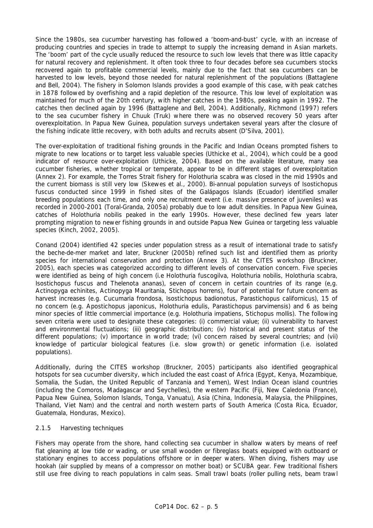Since the 1980s, sea cucumber harvesting has followed a 'boom-and-bust' cycle, with an increase of producing countries and species in trade to attempt to supply the increasing demand in Asian markets. The 'boom' part of the cycle usually reduced the resource to such low levels that there was little capacity for natural recovery and replenishment. It often took three to four decades before sea cucumbers stocks recovered again to profitable commercial levels, mainly due to the fact that sea cucumbers can be harvested to low levels, beyond those needed for natural replenishment of the populations (Battaglene and Bell, 2004). The fishery in Solomon Islands provides a good example of this case, with peak catches in 1878 followed by overfishing and a rapid depletion of the resource. This low level of exploitation was maintained for much of the 20th century, with higher catches in the 1980s, peaking again in 1992. The catches then declined again by 1996 (Battaglene and Bell, 2004). Additionally, Richmond (1997) refers to the sea cucumber fishery in Chuuk (Truk) where there was no observed recovery 50 years after overexploitation. In Papua New Guinea, population surveys undertaken several years after the closure of the fishing indicate little recovery, with both adults and recruits absent (D'Silva, 2001).

The over-exploitation of traditional fishing grounds in the Pacific and Indian Oceans prompted fishers to migrate to new locations or to target less valuable species (Uthicke *et al*., 2004), which could be a good indicator of resource over-exploitation (Uthicke, 2004). Based on the available literature, many sea cucumber fisheries, whether tropical or temperate, appear to be in different stages of overexploitation (Annex 2). For example, the Torres Strait fishery for *Holothuria scabra* was closed in the mid 1990s and the current biomass is still very low (Skewes *et al*., 2000). Bi-annual population surveys of *Isostichopus fuscus* conducted since 1999 in fished sites of the Galápagos Islands (Ecuador) identified smaller breeding populations each time, and only one recruitment event (i.e. massive presence of juveniles) was recorded in 2000-2001 (Toral-Granda, 2005a) probably due to low adult densities. In Papua New Guinea, catches of *Holothuria nobilis* peaked in the early 1990s. However, these declined few years later prompting migration to newer fishing grounds in and outside Papua New Guinea or targeting less valuable species (Kinch, 2002, 2005).

Conand (2004) identified 42 species under population stress as a result of international trade to satisfy the beche-de-mer market and later, Bruckner (2005b) refined such list and identified them as priority species for international conservation and protection (Annex 3). At the CITES workshop (Bruckner, 2005), each species was categorized according to different levels of conservation concern. Five species were identified as being of high concern (i.e *Holothuria fuscogilva, Holothuria nobilis*, *Holothuria scabra, Isostichopus fuscus* and *Thelenota ananas*), seven of concern in certain countries of its range (e,g. *Actinopyga echinites*, *Actinopyga Mauritania, Stichopus horrens*), four of potential for future concern as harvest increases (e.g. *Cucumaria frondosa, Isostichopus badionotus, Parastichopus californicus*), 15 of no concern (e.g. *Apostichopus japonicus*, *Holothuria edulis, Parastichopus parvimensis*) and 6 as being minor species of little commercial importance (e.g. *Holothuria impatiens*, *Stichopus mollis*). The following seven criteria were used to designate these categories: (i) commercial value; (ii) vulnerability to harvest and environmental fluctuations; (iii) geographic distribution; (iv) historical and present status of the different populations; (v) importance in world trade; (vi) concern raised by several countries; and (vii) knowledge of particular biological features (i.e. slow growth) or genetic information (i.e. isolated populations).

Additionally, during the CITES workshop (Bruckner, 2005) participants also identified geographical hotspots for sea cucumber diversity, which included the east coast of Africa (Egypt, Kenya, Mozambique, Somalia, the Sudan, the United Republic of Tanzania and Yemen), West Indian Ocean island countries (including the Comoros, Madagascar and Seychelles), the western Pacific (Fiji, New Caledonia (France), Papua New Guinea, Solomon Islands, Tonga, Vanuatu), Asia (China, Indonesia, Malaysia, the Philippines, Thailand, Viet Nam) and the central and north western parts of South America (Costa Rica, Ecuador, Guatemala, Honduras, Mexico).

### *2.1.5 Harvesting techniques*

Fishers may operate from the shore, hand collecting sea cucumber in shallow waters by means of reef flat gleaning at low tide or wading, or use small wooden or fibreglass boats equipped with outboard or stationary engines to access populations offshore or in deeper waters. When diving, fishers may use hookah (air supplied by means of a compressor on mother boat) or SCUBA gear. Few traditional fishers still use free diving to reach populations in calm seas. Small trawl boats (roller pulling nets, beam trawl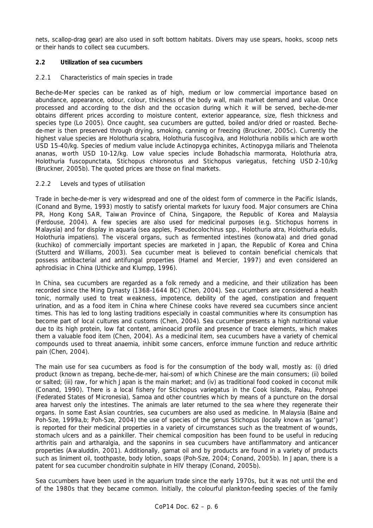nets, scallop-drag gear) are also used in soft bottom habitats. Divers may use spears, hooks, scoop nets or their hands to collect sea cucumbers.

# **2.2 Utilization of sea cucumbers**

### *2.2.1 Characteristics of main species in trade*

Beche-de-Mer species can be ranked as of high, medium or low commercial importance based on abundance, appearance, odour, colour, thickness of the body wall, main market demand and value. Once processed and according to the dish and the occasion during which it will be served, beche-de-mer obtains different prices according to moisture content, exterior appearance, size, flesh thickness and species type (Lo 2005). Once caught, sea cucumbers are gutted, boiled and/or dried or roasted. Bechede-mer is then preserved through drying, smoking, canning or freezing (Bruckner, 2005c). Currently the highest value species are *Holothuria scabra*, *Holothuria fuscogilva*, and *Holothuria nobilis* which are worth USD 15-40/kg. Species of medium value include *Actinopyga echinites, Actinopyga miliaris* and *Thelenota ananas*, worth USD 10-12/kg. Low value species include *Bohadschia marmorata*, *Holothuria atra*, *Holothuria fuscopunctata*, *Stichopus chloronotus* and *Stichopus variegatus*, fetching USD 2-10/kg (Bruckner, 2005b). The quoted prices are those on final markets.

### *2.2.2 Levels and types of utilisation*

Trade in beche-de-mer is very widespread and one of the oldest form of commerce in the Pacific Islands, (Conand and Byrne, 1993) mostly to satisfy oriental markets for luxury food. Major consumers are China PR, Hong Kong SAR, Taiwan Province of China, Singapore, the Republic of Korea and Malaysia (Ferdouse, 2004). A few species are also used for medicinal purposes (e.g. *Stichopus horrens* in Malaysia) and for display in aquaria (sea apples, *Pseudocolochirus* spp., *Holothuria atra*, *Holothuria edulis*, *Holothuria impatiens*). The visceral organs, such as fermented intestines (konowata) and dried gonad (kuchiko) of commercially important species are marketed in Japan, the Republic of Korea and China (Stutterd and Williams, 2003). Sea cucumber meat is believed to contain beneficial chemicals that possess antibacterial and antifungal properties (Hamel and Mercier, 1997) and even considered an aphrodisiac in China (Uthicke and Klumpp, 1996).

In China, sea cucumbers are regarded as a folk remedy and a medicine, and their utilization has been recorded since the Ming Dynasty (1368-1644 BC) (Chen, 2004). Sea cucumbers are considered a health tonic, normally used to treat weakness, impotence, debility of the aged, constipation and frequent urination, and as a food item in China where Chinese cooks have revered sea cucumbers since ancient times. This has led to long lasting traditions especially in coastal communities where its consumption has become part of local cultures and customs (Chen, 2004). Sea cucumber presents a high nutritional value due to its high protein, low fat content, aminoacid profile and presence of trace elements, which makes them a valuable food item (Chen, 2004). As a medicinal item, sea cucumbers have a variety of chemical compounds used to threat anaemia, inhibit some cancers, enforce immune function and reduce arthritic pain (Chen, 2004).

The main use for sea cucumbers as food is for the consumption of the body wall, mostly as: (i) dried product (known as trepang, beche-de-mer, hai-som) of which Chinese are the main consumers; (ii) boiled or salted; (iii) raw, for which Japan is the main market; and (iv) as traditional food cooked in coconut milk (Conand, 1990). There is a local fishery for *Stichopus variegatus* in the Cook Islands, Palau, Pohnpei (Federated States of Micronesia), Samoa and other countries which by means of a puncture on the dorsal area harvest only the intestines. The animals are later returned to the sea where they regenerate their organs. In some East Asian countries, sea cucumbers are also used as medicine. In Malaysia (Baine and Poh-Sze, 1999a,b; Poh-Sze, 2004) the use of species of the genus *Stichopus* (locally known as 'gamat') is reported for their medicinal properties in a variety of circumstances such as the treatment of wounds, stomach ulcers and as a painkiller. Their chemical composition has been found to be useful in reducing arthritis pain and artharalgia, and the saponins in sea cucumbers have antiflammatory and anticancer properties (Awaluddin, 2001). Additionally, gamat oil and by products are found in a variety of products such as liniment oil, toothpaste, body lotion, soaps (Poh-Sze, 2004; Conand, 2005b). In Japan, there is a patent for sea cucumber chondroitin sulphate in HIV therapy (Conand, 2005b).

Sea cucumbers have been used in the aquarium trade since the early 1970s, but it was not until the end of the 1980s that they became common. Initially, the colourful plankton-feeding species of the family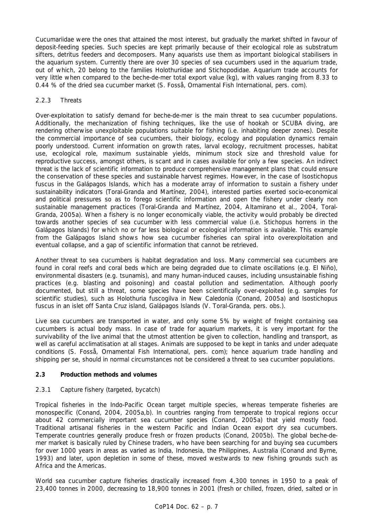Cucumariidae were the ones that attained the most interest, but gradually the market shifted in favour of deposit-feeding species. Such species are kept primarily because of their ecological role as substratum sifters, detritus feeders and decomposers. Many aquarists use them as important biological stabilisers in the aquarium system. Currently there are over 30 species of sea cucumbers used in the aquarium trade, out of which, 20 belong to the families Holothuriidae and Stichopodidae. Aquarium trade accounts for very little when compared to the beche-de-mer total export value (kg), with values ranging from 8.33 to 0.44 % of the dried sea cucumber market (S. Fosså, Ornamental Fish International, pers. com).

## *2.2.3 Threats*

Over-exploitation to satisfy demand for beche-de-mer is the main threat to sea cucumber populations. Additionally, the mechanization of fishing techniques, like the use of hookah or SCUBA diving, are rendering otherwise unexploitable populations suitable for fishing (i.e. inhabiting deeper zones). Despite the commercial importance of sea cucumbers, their biology, ecology and population dynamics remain poorly understood. Current information on growth rates, larval ecology, recruitment processes, habitat use, ecological role, maximum sustainable yields, minimum stock size and threshold value for reproductive success, amongst others, is scant and in cases available for only a few species. An indirect threat is the lack of scientific information to produce comprehensive management plans that could ensure the conservation of these species and sustainable harvest regimes. However, in the case of *Isostichopus fuscus* in the Galápagos Islands, which has a moderate array of information to sustain a fishery under sustainability indicators (Toral-Granda and Martínez, 2004), interested parties exerted socio-economical and political pressures so as to forego scientific information and open the fishery under clearly non sustainable management practices (Toral-Granda and Martínez, 2004, Altamirano *et al*., 2004, Toral-Granda, 2005a). When a fishery is no longer economically viable, the activity would probably be directed towards another species of sea cucumber with less commercial value (i.e. *Stichopus horrens* in the Galápagos Islands) for which no or far less biological or ecological information is available. This example from the Galápagos Island shows how sea cucumber fisheries can spiral into overexploitation and eventual collapse, and a gap of scientific information that cannot be retrieved.

Another threat to sea cucumbers is habitat degradation and loss. Many commercial sea cucumbers are found in coral reefs and coral beds which are being degraded due to climate oscillations (e.g. El Niño), environmental disasters (e.g. tsunamis), and many human-induced causes, including unsustainable fishing practices (e.g. blasting and poisoning) and coastal pollution and sedimentation. Although poorly documented, but still a threat, some species have been scientifically over-exploited (e.g. samples for scientific studies), such as *Holothuria fuscogilva* in New Caledonia (Conand, 2005a) and *Isostichopus fuscus* in an islet off Santa Cruz island, Galápagos Islands (V. Toral-Granda, pers. obs.).

Live sea cucumbers are transported in water, and only some 5% by weight of freight containing sea cucumbers is actual body mass. In case of trade for aquarium markets, it is very important for the survivability of the live animal that the utmost attention be given to collection, handling and transport, as well as careful acclimatisation at all stages. Animals are supposed to be kept in tanks and under adequate conditions (S. Fosså, Ornamental Fish International, pers. com); hence aquarium trade handling and shipping *per se*, should in normal circumstances not be considered a threat to sea cucumber populations.

### **2.3 Production methods and volumes**

# *2.3.1 Capture fishery (targeted, bycatch)*

Tropical fisheries in the Indo-Pacific Ocean target multiple species, whereas temperate fisheries are monospecific (Conand, 2004, 2005a,b). In countries ranging from temperate to tropical regions occur about 42 commercially important sea cucumber species (Conand, 2005a) that yield mostly food. Traditional artisanal fisheries in the western Pacific and Indian Ocean export dry sea cucumbers. Temperate countries generally produce fresh or frozen products (Conand, 2005b). The global beche-demer market is basically ruled by Chinese traders, who have been searching for and buying sea cucumbers for over 1000 years in areas as varied as India, Indonesia, the Philippines, Australia (Conand and Byrne, 1993) and later, upon depletion in some of these, moved westwards to new fishing grounds such as Africa and the Americas.

World sea cucumber capture fisheries drastically increased from 4,300 tonnes in 1950 to a peak of 23,400 tonnes in 2000, decreasing to 18,900 tonnes in 2001 (fresh or chilled, frozen, dried, salted or in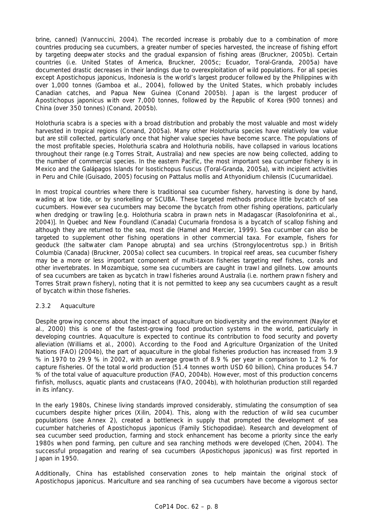brine, canned) (Vannuccini, 2004). The recorded increase is probably due to a combination of more countries producing sea cucumbers, a greater number of species harvested, the increase of fishing effort by targeting deepwater stocks and the gradual expansion of fishing areas (Bruckner, 2005b). Certain countries (i.e. United States of America, Bruckner, 2005c; Ecuador, Toral-Granda, 2005a) have documented drastic decreases in their landings due to overexploitation of wild populations. For all species except *Apostichopus japonicus*, Indonesia is the world's largest producer followed by the Philippines with over 1,000 tonnes (Gamboa *et al.,* 2004), followed by the United States, which probably includes Canadian catches, and Papua New Guinea (Conand 2005b). Japan is the largest producer of *Apostichopus japonicus* with over 7,000 tonnes, followed by the Republic of Korea (900 tonnes) and China (over 350 tonnes) (Conand, 2005b).

*Holothuria scabra* is a species with a broad distribution and probably the most valuable and most widely harvested in tropical regions (Conand, 2005a). Many other *Holothuria* species have relatively low value but are still collected, particularly once that higher value species have become scarce. The populations of the most profitable species, *Holothuria scabra* and *Holothuria nobilis*, have collapsed in various locations throughout their range (e.g Torres Strait, Australia) and new species are now being collected, adding to the number of commercial species. In the eastern Pacific, the most important sea cucumber fishery is in Mexico and the Galápagos Islands for *Isostichopus fuscus* (Toral-Granda, 2005a), with incipient activities in Peru and Chile (Guisado, 2005) focusing on *Pattalus mollis* and *Athyonidium chilensis* (Cucumariidae).

In most tropical countries where there is traditional sea cucumber fishery, harvesting is done by hand, wading at low tide, or by snorkelling or SCUBA. These targeted methods produce little bycatch of sea cucumbers. However sea cucumbers may become the bycatch from other fishing operations, particularly when dredging or trawling [e.g. *Holothuria scabra* in prawn nets in Madagascar (Rasolofonirina *et al.,* 2004)]. In Quebec and New Foundland (Canada) *Cucumaria frondosa* is a bycatch of scallop fishing and although they are returned to the sea, most die (Hamel and Mercier, 1999). Sea cucumber can also be targeted to supplement other fishing operations in other commercial taxa. For example, fishers for geoduck (the saltwater clam *Panope abrupta*) and sea urchins (*Strongylocentrotus* spp.) in British Columbia (Canada) (Bruckner, 2005a) collect sea cucumbers. In tropical reef areas, sea cucumber fishery may be a more or less important component of multi-taxon fisheries targeting reef fishes, corals and other invertebrates. In Mozambique, some sea cucumbers are caught in trawl and gillnets. Low amounts of sea cucumbers are taken as bycatch in trawl fisheries around Australia (i.e. northern prawn fishery and Torres Strait prawn fishery), noting that it is not permitted to keep any sea cucumbers caught as a result of bycatch within those fisheries.

### *2.3.2 Aquaculture*

Despite growing concerns about the impact of aquaculture on biodiversity and the environment (Naylor *et al.,* 2000) this is one of the fastest-growing food production systems in the world, particularly in developing countries. Aquaculture is expected to continue its contribution to food security and poverty alleviation (Williams *et al*., 2000). According to the Food and Agriculture Organization of the United Nations (FAO) (2004b), the part of aquaculture in the global fisheries production has increased from 3.9 % in 1970 to 29.9 % in 2002, with an average growth of 8.9 % per year in comparison to 1.2 % for capture fisheries. Of the total world production (51.4 tonnes worth USD 60 billion), China produces 54.7 % of the total value of aquaculture production (FAO, 2004b). However, most of this production concerns finfish, molluscs, aquatic plants and crustaceans (FAO, 2004b), with holothurian production still regarded in its infancy.

In the early 1980s, Chinese living standards improved considerably, stimulating the consumption of sea cucumbers despite higher prices (Xilin, 2004). This, along with the reduction of wild sea cucumber populations (see Annex 2), created a bottleneck in supply that prompted the development of sea cucumber hatcheries of *Apostichopus japonicus* (Family Stichopodidae). Research and development of sea cucumber seed production, farming and stock enhancement has become a priority since the early 1980s when pond farming, pen culture and sea ranching methods were developed (Chen, 2004). The successful propagation and rearing of sea cucumbers (*Apostichopus japonicus*) was first reported in Japan in 1950.

Additionally, China has established conservation zones to help maintain the original stock of *Apostichopus japonicus*. Mariculture and sea ranching of sea cucumbers have become a vigorous sector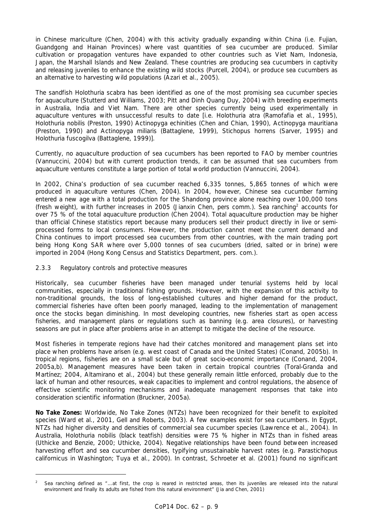in Chinese mariculture (Chen, 2004) with this activity gradually expanding within China (i.e. Fujian, Guandgong and Hainan Provinces) where vast quantities of sea cucumber are produced. Similar cultivation or propagation ventures have expanded to other countries such as Viet Nam, Indonesia, Japan, the Marshall Islands and New Zealand. These countries are producing sea cucumbers in captivity and releasing juveniles to enhance the existing wild stocks (Purcell, 2004), or produce sea cucumbers as an alternative to harvesting wild populations (Azari *et al*., 2005).

The sandfish *Holothuria scabra* has been identified as one of the most promising sea cucumber species for aquaculture (Stutterd and Williams, 2003; Pitt and Dinh Quang Duy, 2004) with breeding experiments in Australia, India and Viet Nam. There are other species currently being used experimentally in aquaculture ventures with unsuccessful results to date [i.e. *Holothuria atra* (Ramofafia *et al*., 1995), *Holothuria nobilis* (Preston, 1990) *Actinopyga echinities* (Chen and Chian, 1990), *Actinopyga mauritiana*  (Preston, 1990) and *Actinopyga miliaris* (Battaglene, 1999), *Stichopus horrens* (Sarver, 1995) and *Holothuria fuscogilva* (Battaglene, 1999)].

Currently, no aquaculture production of sea cucumbers has been reported to FAO by member countries (Vannuccini, 2004) but with current production trends, it can be assumed that sea cucumbers from aquaculture ventures constitute a large portion of total world production (Vannuccini, 2004).

In 2002, China's production of sea cucumber reached 6,335 tonnes, 5,865 tonnes of which were produced in aquaculture ventures (Chen, 2004). In 2004, however, Chinese sea cucumber farming entered a new age with a total production for the Shandong province alone reaching over 100,000 tons (fresh weight), with further increases in 2005 (Jianxin Chen, pers comm.). Sea ranching<sup>2</sup> accounts for over 75 % of the total aquaculture production (Chen 2004). Total aquaculture production may be higher than official Chinese statistics report because many producers sell their product directly in live or semiprocessed forms to local consumers. However, the production cannot meet the current demand and China continues to import processed sea cucumbers from other countries, with the main trading port being Hong Kong SAR where over 5,000 tonnes of sea cucumbers (dried, salted or in brine) were imported in 2004 (Hong Kong Census and Statistics Department, pers. com.).

## *2.3.3 Regulatory controls and protective measures*

Historically, sea cucumber fisheries have been managed under tenurial systems held by local communities, especially in traditional fishing grounds. However, with the expansion of this activity to non-traditional grounds, the loss of long-established cultures and higher demand for the product, commercial fisheries have often been poorly managed, leading to the implementation of management once the stocks began diminishing. In most developing countries, new fisheries start as open access fisheries, and management plans or regulations such as banning (e.g. area closures), or harvesting seasons are put in place after problems arise in an attempt to mitigate the decline of the resource.

Most fisheries in temperate regions have had their catches monitored and management plans set into place when problems have arisen (e.g. west coast of Canada and the United States) (Conand, 2005b). In tropical regions, fisheries are on a small scale but of great socio-economic importance (Conand, 2004, 2005a,b). Management measures have been taken in certain tropical countries (Toral-Granda and Martínez; 2004, Altamirano *et al.*, 2004) but these generally remain little enforced, probably due to the lack of human and other resources, weak capacities to implement and control regulations, the absence of effective scientific monitoring mechanisms and inadequate management responses that take into consideration scientific information (Bruckner, 2005a).

**No Take Zones:** Worldwide, No Take Zones (NTZs) have been recognized for their benefit to exploited species (Ward *et al.,* 2001, Gell and Roberts, 2003). A few examples exist for sea cucumbers. In Egypt, NTZs had higher diversity and densities of commercial sea cucumber species (Lawrence *et al.*, 2004). In Australia, *Holothuria nobilis* (black teatfish) densities were 75 % higher in NTZs than in fished areas (Uthicke and Benzie, 2000; Uthicke, 2004). Negative relationships have been found between increased harvesting effort and sea cucumber densities, typifying unsustainable harvest rates (e.g. *Parastichopus californicus* in Washington; Tuya *et al*., 2000). In contrast, Schroeter *et al*. (2001) found no significant

*<sup>2</sup> Sea ranching defined as "…*at first, the crop is reared in restricted areas, then its juveniles are released into the natural environment and finally its adults are fished from this natural environment*" (Jia and Chen, 2001)*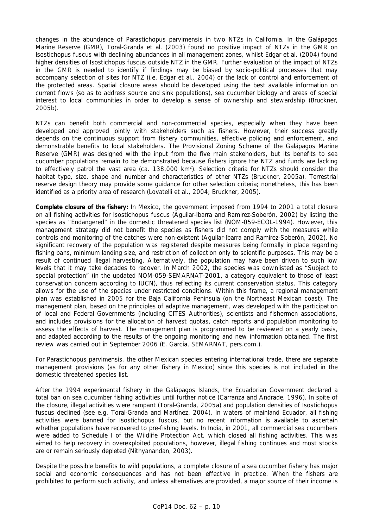changes in the abundance of *Parastichopus parvimensis* in two NTZs in California. In the Galápagos Marine Reserve (GMR), Toral-Granda *et al*. (2003) found no positive impact of NTZs in the GMR on *Isostichopus fuscus* with declining abundances in all management zones, whilst Edgar *et al.* (2004) found higher densities of *Isostichopus fuscus* outside NTZ in the GMR. Further evaluation of the impact of NTZs in the GMR is needed to identify if findings may be biased by socio-political processes that may accompany selection of sites for NTZ (i.e. Edgar *et a*l., 2004) or the lack of control and enforcement of the protected areas. Spatial closure areas should be developed using the best available information on current flows (so as to address source and sink populations), sea cucumber biology and areas of special interest to local communities in order to develop a sense of ownership and stewardship (Bruckner, 2005b).

NTZs can benefit both commercial and non-commercial species, especially when they have been developed and approved jointly with stakeholders such as fishers. However, their success greatly depends on the continuous support from fishery communities, effective policing and enforcement, and demonstrable benefits to local stakeholders. The Provisional Zoning Scheme of the Galápagos Marine Reserve (GMR) was designed with the input from the five main stakeholders, but its benefits to sea cucumber populations remain to be demonstrated because fishers ignore the NTZ and funds are lacking to effectively patrol the vast area (ca. 138,000 km<sup>2</sup>). Selection criteria for NTZs should consider the habitat type, size, shape and number and characteristics of other NTZs (Bruckner, 2005a). Terrestrial reserve design theory may provide some guidance for other selection criteria; nonetheless, this has been identified as a priority area of research (Lovatelli *et al.,* 2004; Bruckner, 2005).

**Complete closure of the fishery:** In Mexico, the government imposed from 1994 to 2001 a total closure on all fishing activities for *Isostichopus fuscus* (Aguilar-Ibarra and Ramirez-Soberón, 2002) by listing the species as "Endangered" in the domestic threatened species list (NOM-059-ECOL-1994). However, this management strategy did not benefit the species as fishers did not comply with the measures while controls and monitoring of the catches were non-existent (Aguilar-Ibarra and Ramirez-Soberón, 2002). No significant recovery of the population was registered despite measures being formally in place regarding fishing bans, minimum landing size, and restriction of collection only to scientific purposes. This may be a result of continued illegal harvesting. Alternatively, the population may have been driven to such low levels that it may take decades to recover. In March 2002, the species was downlisted as "Subject to special protection" (in the updated NOM-059-SEMARNAT-2001, a category equivalent to those of least conservation concern according to IUCN), thus reflecting its current conservation status. This category allows for the use of the species under restricted conditions. Within this frame, a regional management plan was established in 2005 for the Baja California Peninsula (on the Northeast Mexican coast). The management plan, based on the principles of adaptive management, was developed with the participation of local and Federal Governments (including CITES Authorities), scientists and fishermen associations, and includes provisions for the allocation of harvest quotas, catch reports and population monitoring to assess the effects of harvest. The management plan is programmed to be reviewed on a yearly basis, and adapted according to the results of the ongoing monitoring and new information obtained. The first review was carried out in September 2006 (E. García, SEMARNAT, pers.com.).

For *Parastichopus parvimensis*, the other Mexican species entering international trade, there are separate management provisions (as for any other fishery in Mexico) since this species is not included in the domestic threatened species list.

After the 1994 experimental fishery in the Galápagos Islands, the Ecuadorian Government declared a total ban on sea cucumber fishing activities until further notice (Carranza and Andrade, 1996). In spite of the closure, illegal activities were rampant (Toral-Granda, 2005a) and population densities of *Isostichopus fuscus* declined (see e.g. Toral-Granda and Martínez, 2004). In waters of mainland Ecuador, all fishing activities were banned for *Isostichopus fuscus*, but no recent information is available to ascertain whether populations have recovered to pre-fishing levels. In India, in 2001, all commercial sea cucumbers were added to Schedule I of the Wildlife Protection Act, which closed all fishing activities. This was aimed to help recovery in overexploited populations, however, illegal fishing continues and most stocks are or remain seriously depleted (Nithyanandan, 2003).

Despite the possible benefits to wild populations, a complete closure of a sea cucumber fishery has major social and economic consequences and has not been effective in practice. When the fishers are prohibited to perform such activity, and unless alternatives are provided, a major source of their income is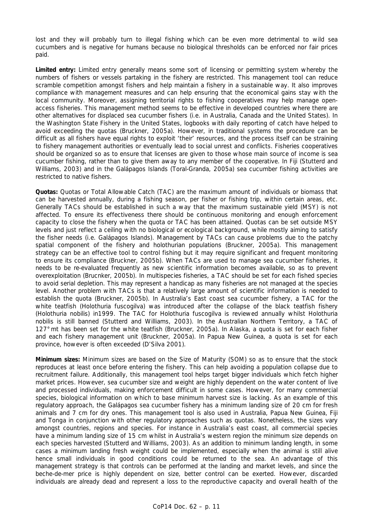lost and they will probably turn to illegal fishing which can be even more detrimental to wild sea cucumbers and is negative for humans because no biological thresholds can be enforced nor fair prices paid.

**Limited entry:** Limited entry generally means some sort of licensing or permitting system whereby the numbers of fishers or vessels partaking in the fishery are restricted. This management tool can reduce scramble competition amongst fishers and help maintain a fishery in a sustainable way. It also improves compliance with management measures and can help ensuring that the economical gains stay with the local community. Moreover, assigning territorial rights to fishing cooperatives may help manage openaccess fisheries. This management method seems to be effective in developed countries where there are other alternatives for displaced sea cucumber fishers (i.e. in Australia, Canada and the United States). In the Washington State Fishery in the United States, logbooks with daily reporting of catch have helped to avoid exceeding the quotas (Bruckner, 2005a). However, in traditional systems the procedure can be difficult as all fishers have equal rights to exploit 'their' resources, and the process itself can be straining to fishery management authorities or eventually lead to social unrest and conflicts. Fisheries cooperatives should be organized so as to ensure that licenses are given to those whose main source of income is sea cucumber fishing, rather than to give them away to any member of the cooperative. In Fiji (Stutterd and Williams, 2003) and in the Galápagos Islands (Toral-Granda, 2005a) sea cucumber fishing activities are restricted to native fishers.

**Quotas:** Quotas or Total Allowable Catch (TAC) are the maximum amount of individuals or biomass that can be harvested annually, during a fishing season, per fisher or fishing trip, within certain areas, etc. Generally TACs should be established in such a way that the maximum sustainable yield (MSY) is not affected. To ensure its effectiveness there should be continuous monitoring and enough enforcement capacity to close the fishery when the quota or TAC has been attained. Quotas can be set outside MSY levels and just reflect a ceiling with no biological or ecological background, while mostly aiming to satisfy the fisher needs (i.e. Galápagos Islands). Management by TACs can cause problems due to the patchy spatial component of the fishery and holothurian populations (Bruckner, 2005a). This management strategy can be an effective tool to control fishing but it may require significant and frequent monitoring to ensure its compliance (Bruckner, 2005b). When TACs are used to manage sea cucumber fisheries, it needs to be re-evaluated frequently as new scientific information becomes available, so as to prevent overexploitation (Brucnker, 2005b). In multispecies fisheries, a TAC should be set for each fished species to avoid serial depletion. This may represent a handicap as many fisheries are not managed at the species level. Another problem with TACs is that a relatively large amount of scientific information is needed to establish the quota (Bruckner, 2005b). In Australia's East coast sea cucumber fishery, a TAC for the white teatfish (*Holothuria fuscogilva*) was introduced after the collapse of the black teatfish fishery (*Holothuria nobilis*) in1999. The TAC for *Holothuria fuscogilva* is reviewed annually whilst *Holothuria nobilis* is still banned (Stutterd and Williams, 2003). In the Australian Northern Territory, a TAC of 127°mt has been set for the white teatfish (Bruckner, 2005a). In Alaska, a quota is set for each fisher and each fishery management unit (Bruckner, 2005a). In Papua New Guinea, a quota is set for each province, however is often exceeded (D'Silva 2001).

**Minimum sizes:** Minimum sizes are based on the Size of Maturity (SOM) so as to ensure that the stock reproduces at least once before entering the fishery. This can help avoiding a population collapse due to recruitment failure. Additionally, this management tool helps target bigger individuals which fetch higher market prices. However, sea cucumber size and weight are highly dependent on the water content of live and processed individuals, making enforcement difficult in some cases. However, for many commercial species, biological information on which to base minimum harvest size is lacking. As an example of this regulatory approach, the Galápagos sea cucumber fishery has a minimum landing size of 20 cm for fresh animals and 7 cm for dry ones. This management tool is also used in Australia, Papua New Guinea, Fiji and Tonga in conjunction with other regulatory approaches such as quotas. Nonetheless, the sizes vary amongst countries, regions and species. For instance in Australia's east coast, all commercial species have a minimum landing size of 15 cm whilst in Australia's western region the minimum size depends on each species harvested (Stutterd and Williams, 2003). As an addition to minimum landing length, in some cases a minimum landing fresh weight could be implemented, especially when the animal is still alive hence small individuals in good conditions could be returned to the sea. An advantage of this management strategy is that controls can be performed at the landing and market levels, and since the beche-de-mer price is highly dependent on size, better control can be exerted. However, discarded individuals are already dead and represent a loss to the reproductive capacity and overall health of the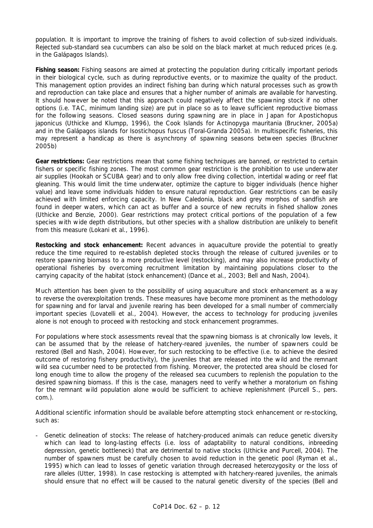population. It is important to improve the training of fishers to avoid collection of sub-sized individuals. Rejected sub-standard sea cucumbers can also be sold on the black market at much reduced prices (e.g. in the Galápagos Islands).

**Fishing season:** Fishing seasons are aimed at protecting the population during critically important periods in their biological cycle, such as during reproductive events, or to maximize the quality of the product. This management option provides an indirect fishing ban during which natural processes such as growth and reproduction can take place and ensures that a higher number of animals are available for harvesting. It should however be noted that this approach could negatively affect the spawning stock if no other options (i.e. TAC, minimum landing size) are put in place so as to leave sufficient reproductive biomass for the following seasons. Closed seasons during spawning are in place in Japan for *Apostichopus japonicus* (Uthicke and Klumpp, 1996), the Cook Islands for *Actinopyga mauritania* (Bruckner, 2005a) and in the Galápagos islands for *Isostichopus fuscus* (Toral-Granda 2005a). In multispecific fisheries, this may represent a handicap as there is asynchrony of spawning seasons between species (Bruckner 2005b)

**Gear restrictions:** Gear restrictions mean that some fishing techniques are banned, or restricted to certain fishers or specific fishing zones. The most common gear restriction is the prohibition to use underwater air supplies (Hookah or SCUBA gear) and to only allow free diving collection, intertidal wading or reef flat gleaning. This would limit the time underwater, optimize the capture to bigger individuals (hence higher value) and leave some individuals hidden to ensure natural reproduction. Gear restrictions can be easily achieved with limited enforcing capacity. In New Caledonia, black and grey morphos of sandfish are found in deeper waters, which can act as buffer and a source of new recruits in fished shallow zones (Uthicke and Benzie, 2000). Gear restrictions may protect critical portions of the population of a few species with wide depth distributions, but other species with a shallow distribution are unlikely to benefit from this measure (Lokani *et al*., 1996).

**Restocking and stock enhancement:** Recent advances in aquaculture provide the potential to greatly reduce the time required to re-establish depleted stocks through the release of cultured juveniles or to restore spawning biomass to a more productive level (restocking), and may also increase productivity of operational fisheries by overcoming recruitment limitation by maintaining populations closer to the carrying capacity of the habitat (stock enhancement) (Dance *et al.*, 2003; Bell and Nash, 2004).

Much attention has been given to the possibility of using aquaculture and stock enhancement as a way to reverse the overexploitation trends. These measures have become more prominent as the methodology for spawning and for larval and juvenile rearing has been developed for a small number of commercially important species (Lovatelli *et al*., 2004). However, the access to technology for producing juveniles alone is not enough to proceed with restocking and stock enhancement programmes.

For populations where stock assessments reveal that the spawning biomass is at chronically low levels, it can be assumed that by the release of hatchery-reared juveniles, the number of spawners could be restored (Bell and Nash, 2004). However, for such restocking to be effective (i.e. to achieve the desired outcome of restoring fishery productivity), the juveniles that are released into the wild and the remnant wild sea cucumber need to be protected from fishing. Moreover, the protected area should be closed for long enough time to allow the progeny of the released sea cucumbers to replenish the population to the desired spawning biomass. If this is the case, managers need to verify whether a moratorium on fishing for the remnant wild population alone would be sufficient to achieve replenishment (Purcell S., pers. com.).

Additional scientific information should be available before attempting stock enhancement or re-stocking, such as:

Genetic delineation of stocks: The release of hatchery-produced animals can reduce genetic diversity which can lead to long-lasting effects (i.e. loss of adaptability to natural conditions, inbreeding depression, genetic bottleneck) that are detrimental to native stocks (Uthicke and Purcell, 2004). The number of spawners must be carefully chosen to avoid reduction in the genetic pool (Ryman *et al.,* 1995) which can lead to losses of genetic variation through decreased heterozygosity or the loss of rare alleles (Utter, 1998). In case restocking is attempted with hatchery-reared juveniles, the animals should ensure that no effect will be caused to the natural genetic diversity of the species (Bell and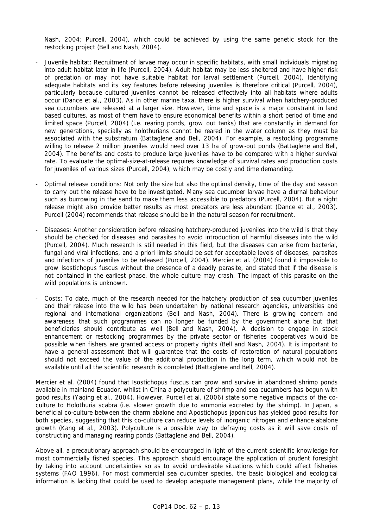Nash, 2004; Purcell, 2004), which could be achieved by using the same genetic stock for the restocking project (Bell and Nash, 2004).

- Juvenile habitat: Recruitment of larvae may occur in specific habitats, with small individuals migrating into adult habitat later in life (Purcell, 2004). Adult habitat may be less sheltered and have higher risk of predation or may not have suitable habitat for larval settlement (Purcell, 2004). Identifying adequate habitats and its key features before releasing juveniles is therefore critical (Purcell, 2004), particularly because cultured juveniles cannot be released effectively into all habitats where adults occur (Dance *et al.*, 2003). As in other marine taxa, there is higher survival when hatchery-produced sea cucumbers are released at a larger size. However, time and space is a major constraint in land based cultures, as most of them have to ensure economical benefits within a short period of time and limited space (Purcell, 2004) (i.e. rearing ponds, grow out tanks) that are constantly in demand for new generations, specially as holothurians cannot be reared in the water column as they must be associated with the substratum (Battaglene and Bell, 2004). For example, a restocking programme willing to release 2 million juveniles would need over 13 ha of grow-out ponds (Battaglene and Bell, 2004). The benefits and costs to produce large juveniles have to be compared with a higher survival rate. To evaluate the optimal-size-at-release requires knowledge of survival rates and production costs for juveniles of various sizes (Purcell, 2004), which may be costly and time demanding.
- Optimal release conditions: Not only the size but also the optimal density, time of the day and season to carry out the release have to be investigated. Many sea cucumber larvae have a diurnal behaviour such as burrowing in the sand to make them less accessible to predators (Purcell, 2004). But a night release might also provide better results as most predators are less abundant (Dance *et al*., 2003). Purcell (2004) recommends that release should be in the natural season for recruitment.
- Diseases: Another consideration before releasing hatchery-produced juveniles into the wild is that they should be checked for diseases and parasites to avoid introduction of harmful diseases into the wild (Purcell, 2004). Much research is still needed in this field, but the diseases can arise from bacterial, fungal and viral infections, and *a priori* limits should be set for acceptable levels of diseases, parasites and infections of juveniles to be released (Purcell, 2004). Mercier *et al*. (2004) found it impossible to grow *Isostichopus fuscus* without the presence of a deadly parasite, and stated that if the disease is not contained in the earliest phase, the whole culture may crash. The impact of this parasite on the wild populations is unknown.
- Costs: To date, much of the research needed for the hatchery production of sea cucumber juveniles and their release into the wild has been undertaken by national research agencies, universities and regional and international organizations (Bell and Nash, 2004). There is growing concern and awareness that such programmes can no longer be funded by the government alone but that beneficiaries should contribute as well (Bell and Nash, 2004). A decision to engage in stock enhancement or restocking programmes by the private sector or fisheries cooperatives would be possible when fishers are granted access or property rights (Bell and Nash, 2004). It is important to have a general assessment that will guarantee that the costs of restoration of natural populations should not exceed the value of the additional production in the long term, which would not be available until all the scientific research is completed (Battaglene and Bell, 2004).

Mercier et al. (2004) found that *Isostichopus fuscus* can grow and survive in abandoned shrimp ponds available in mainland Ecuador, whilst in China a polyculture of shrimp and sea cucumbers has begun with good results (Yaqing *et al.,* 2004). However, Purcell et al. (2006) state some negative impacts of the coculture to *Holothuria scabra* (i.e. slower growth due to ammonia excreted by the shrimp). In Japan, a beneficial co-culture between the charm abalone and *Apostichopus japonicus* has yielded good results for both species, suggesting that this co-culture can reduce levels of inorganic nitrogen and enhance abalone growth (Kang *et al.,* 2003). Polyculture is a possible way to defraying costs as it will save costs of constructing and managing rearing ponds (Battaglene and Bell, 2004).

Above all, a precautionary approach should be encouraged in light of the current scientific knowledge for most commercially fished species. This approach should encourage the application of prudent foresight by taking into account uncertainties so as to avoid undesirable situations which could affect fisheries systems (FAO 1996). For most commercial sea cucumber species, the basic biological and ecological information is lacking that could be used to develop adequate management plans, while the majority of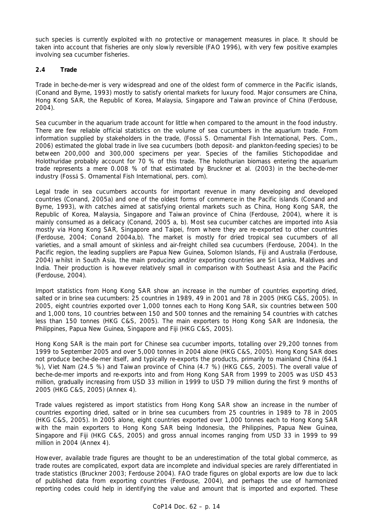such species is currently exploited with no protective or management measures in place. It should be taken into account that fisheries are only slowly reversible (FAO 1996), with very few positive examples involving sea cucumber fisheries.

## **2.4 Trade**

Trade in beche-de-mer is very widespread and one of the oldest form of commerce in the Pacific islands, (Conand and Byrne, 1993) mostly to satisfy oriental markets for luxury food. Major consumers are China, Hong Kong SAR, the Republic of Korea, Malaysia, Singapore and Taiwan province of China (Ferdouse, 2004).

Sea cucumber in the aquarium trade account for little when compared to the amount in the food industry. There are few reliable official statistics on the volume of sea cucumbers in the aquarium trade. From information supplied by stakeholders in the trade, (Fosså S. Ornamental Fish International, Pers. Com., 2006) estimated the global trade in live sea cucumbers (both deposit- and plankton-feeding species) to be between 200,000 and 300,000 specimens per year. Species of the families Stichopodidae and Holothuridae probably account for 70 % of this trade. The holothurian biomass entering the aquarium trade represents a mere 0.008 % of that estimated by Bruckner *et al.* (2003) in the beche-de-mer industry (Fosså S. Ornamental Fish International, pers. com).

Legal trade in sea cucumbers accounts for important revenue in many developing and developed countries (Conand, 2005a) and one of the oldest forms of commerce in the Pacific islands (Conand and Byrne, 1993), with catches aimed at satisfying oriental markets such as China, Hong Kong SAR, the Republic of Korea, Malaysia, Singapore and Taiwan province of China (Ferdouse, 2004), where it is mainly consumed as a delicacy (Conand, 2005 a, b). Most sea cucumber catches are imported into Asia mostly via Hong Kong SAR, Singapore and Taipei, from where they are re-exported to other countries (Ferdouse, 2004; Conand 2004a,b). The market is mostly for dried tropical sea cucumbers of all varieties, and a small amount of skinless and air-freight chilled sea cucumbers (Ferdouse, 2004). In the Pacific region, the leading suppliers are Papua New Guinea, Solomon Islands, Fiji and Australia (Ferdouse, 2004) whilst in South Asia, the main producing and/or exporting countries are Sri Lanka, Maldives and India. Their production is however relatively small in comparison with Southeast Asia and the Pacific (Ferdouse, 2004).

Import statistics from Hong Kong SAR show an increase in the number of countries exporting dried, salted or in brine sea cucumbers: 25 countries in 1989, 49 in 2001 and 78 in 2005 (HKG C&S, 2005). In 2005, eight countries exported over 1,000 tonnes each to Hong Kong SAR, six countries between 500 and 1,000 tons, 10 countries between 150 and 500 tonnes and the remaining 54 countries with catches less than 150 tonnes (HKG C&S, 2005). The main exporters to Hong Kong SAR are Indonesia, the Philippines, Papua New Guinea, Singapore and Fiji (HKG C&S, 2005).

Hong Kong SAR is the main port for Chinese sea cucumber imports, totalling over 29,200 tonnes from 1999 to September 2005 and over 5,000 tonnes in 2004 alone (HKG C&S, 2005). Hong Kong SAR does not produce beche-de-mer itself, and typically re-exports the products, primarily to mainland China (64.1 %), Viet Nam (24.5 %) and Taiwan province of China (4.7 %) (HKG C&S, 2005). The overall value of beche-de-mer imports and re-exports into and from Hong Kong SAR from 1999 to 2005 was USD 453 million, gradually increasing from USD 33 million in 1999 to USD 79 million during the first 9 months of 2005 (HKG C&S, 2005) (Annex 4).

Trade values registered as import statistics from Hong Kong SAR show an increase in the number of countries exporting dried, salted or in brine sea cucumbers from 25 countries in 1989 to 78 in 2005 (HKG C&S, 2005). In 2005 alone, eight countries exported over 1,000 tonnes each to Hong Kong SAR with the main exporters to Hong Kong SAR being Indonesia, the Philippines, Papua New Guinea, Singapore and Fiji (HKG C&S, 2005) and gross annual incomes ranging from USD 33 in 1999 to 99 million in 2004 (Annex 4).

However, available trade figures are thought to be an underestimation of the total global commerce, as trade routes are complicated, export data are incomplete and individual species are rarely differentiated in trade statistics (Bruckner 2003; Ferdouse 2004). FAO trade figures on global exports are low due to lack of published data from exporting countries (Ferdouse, 2004), and perhaps the use of harmonized reporting codes could help in identifying the value and amount that is imported and exported. These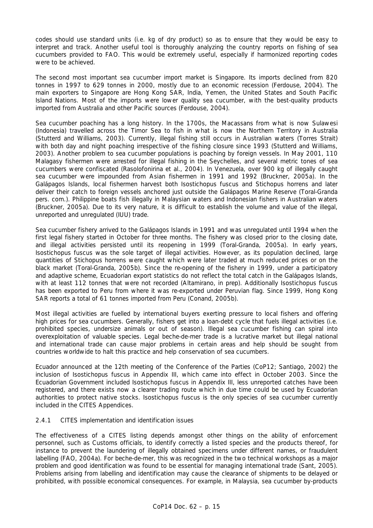codes should use standard units (i.e. kg of dry product) so as to ensure that they would be easy to interpret and track. Another useful tool is thoroughly analyzing the country reports on fishing of sea cucumbers provided to FAO. This would be extremely useful, especially if harmonized reporting codes were to be achieved.

The second most important sea cucumber import market is Singapore. Its imports declined from 820 tonnes in 1997 to 629 tonnes in 2000, mostly due to an economic recession (Ferdouse, 2004). The main exporters to Singapore are Hong Kong SAR, India, Yemen, the United States and South Pacific Island Nations. Most of the imports were lower quality sea cucumber, with the best-quality products imported from Australia and other Pacific sources (Ferdouse, 2004).

Sea cucumber poaching has a long history. In the 1700s, the Macassans from what is now Sulawesi (Indonesia) travelled across the Timor Sea to fish in what is now the Northern Territory in Australia (Stutterd and Williams, 2003). Currently, illegal fishing still occurs in Australian waters (Torres Strait) with both day and night poaching irrespective of the fishing closure since 1993 (Stutterd and Williams, 2003). Another problem to sea cucumber populations is poaching by foreign vessels. In May 2001, 110 Malagasy fishermen were arrested for illegal fishing in the Seychelles, and several metric tones of sea cucumbers were confiscated (Rasolofonirina *et al*., 2004). In Venezuela, over 900 kg of illegally caught sea cucumber were impounded from Asian fishermen in 1991 and 1992 (Bruckner, 2005a). In the Galápagos Islands, local fishermen harvest both *Isostichopus fuscus* and *Stichopus horrens* and later deliver their catch to foreign vessels anchored just outside the Galápagos Marine Reserve (Toral-Granda pers. com.). Philippine boats fish illegally in Malaysian waters and Indonesian fishers in Australian waters (Bruckner, 2005a). Due to its very nature, it is difficult to establish the volume and value of the illegal, unreported and unregulated (IUU) trade.

Sea cucumber fishery arrived to the Galápagos Islands in 1991 and was unregulated until 1994 when the first legal fishery started in October for three months. The fishery was closed prior to the closing date, and illegal activities persisted until its reopening in 1999 (Toral-Granda, 2005a). In early years, *Isostichopus fuscus* was the sole target of illegal activities. However, as its population declined, large quantities of *Stichopus horrens* were caught which were later traded at much reduced prices or on the black market (Toral-Granda, 2005b). Since the re-opening of the fishery in 1999, under a participatory and adaptive scheme, Ecuadorian export statistics do not reflect the total catch in the Galápagos Islands, with at least 112 tonnes that were not recorded (Altamirano, in prep). Additionally *Isostichopus fuscus* has been exported to Peru from where it was re-exported under Peruvian flag. Since 1999, Hong Kong SAR reports a total of 61 tonnes imported from Peru (Conand, 2005b).

Most illegal activities are fuelled by international buyers exerting pressure to local fishers and offering high prices for sea cucumbers. Generally, fishers get into a loan-debt cycle that fuels illegal activities (i.e. prohibited species, undersize animals or out of season). Illegal sea cucumber fishing can spiral into overexploitation of valuable species. Legal beche-de-mer trade is a lucrative market but illegal national and international trade can cause major problems in certain areas and help should be sought from countries worldwide to halt this practice and help conservation of sea cucumbers.

Ecuador announced at the 12th meeting of the Conference of the Parties (CoP12; Santiago, 2002) the inclusion of *Isostichopus fuscus* in Appendix III, which came into effect in October 2003. Since the Ecuadorian Government included *Isostichopus fuscus* in Appendix III, less unreported catches have been registered, and there exists now a clearer trading route which in due time could be used by Ecuadorian authorities to protect native stocks. *Isostichopus fuscus* is the only species of sea cucumber currently included in the CITES Appendices.

### *2.4.1 CITES implementation and identification issues*

The effectiveness of a CITES listing depends amongst other things on the ability of enforcement personnel, such as Customs officials, to identify correctly a listed species and the products thereof, for instance to prevent the laundering of illegally obtained specimens under different names, or fraudulent labelling (FAO, 2004a). For beche-de-mer, this was recognized in the two technical workshops as a major problem and good identification was found to be essential for managing international trade (Sant, 2005). Problems arising from labelling and identification may cause the clearance of shipments to be delayed or prohibited, with possible economical consequences. For example, in Malaysia, sea cucumber by-products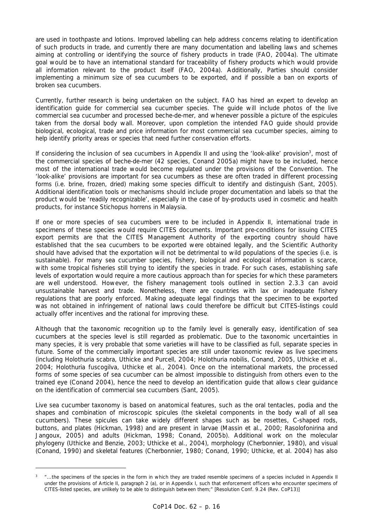are used in toothpaste and lotions. Improved labelling can help address concerns relating to identification of such products in trade, and currently there are many documentation and labelling laws and schemes aiming at controlling or identifying the source of fishery products in trade (FAO, 2004a). The ultimate goal would be to have an international standard for traceability of fishery products which would provide all information relevant to the product itself (FAO, 2004a). Additionally, Parties should consider implementing a minimum size of sea cucumbers to be exported, and if possible a ban on exports of broken sea cucumbers.

Currently, further research is being undertaken on the subject. FAO has hired an expert to develop an identification guide for commercial sea cucumber species. The guide will include photos of the live commercial sea cucumber and processed beche-de-mer, and whenever possible a picture of the espicules taken from the dorsal body wall. Moreover, upon completion the intended FAO guide should provide biological, ecological, trade and price information for most commercial sea cucumber species, aiming to help identify priority areas or species that need further conservation efforts.

If considering the inclusion of sea cucumbers in Appendix II and using the 'look-alike' provision<sup>3</sup>, most of the commercial species of beche-de-mer (42 species, Conand 2005a) might have to be included, hence most of the international trade would become regulated under the provisions of the Convention. The 'look-alike' provisions are important for sea cucumbers as these are often traded in different processing forms (i.e. brine, frozen, dried) making some species difficult to identify and distinguish (Sant, 2005). Additional identification tools or mechanisms should include proper documentation and labels so that the product would be 'readily recognizable', especially in the case of by-products used in cosmetic and health products, for instance *Stichopus horrens* in Malaysia.

If one or more species of sea cucumbers were to be included in Appendix II, international trade in specimens of these species would require CITES documents. Important pre-conditions for issuing CITES export permits are that the CITES Management Authority of the exporting country should have established that the sea cucumbers to be exported were obtained legally, and the Scientific Authority should have advised that the exportation will not be detrimental to wild populations of the species (i.e. is sustainable). For many sea cucumber species, fishery, biological and ecological information is scarce, with some tropical fisheries still trying to identify the species in trade. For such cases, establishing safe levels of exportation would require a more cautious approach than for species for which these parameters are well understood. However, the fishery management tools outlined in section 2.3.3 can avoid unsustainable harvest and trade. Nonetheless, there are countries with lax or inadequate fishery regulations that are poorly enforced. Making adequate legal findings that the specimen to be exported was not obtained in infringement of national laws could therefore be difficult but CITES-listings could actually offer incentives and the rational for improving these.

Although that the taxonomic recognition up to the family level is generally easy, identification of sea cucumbers at the species level is still regarded as problematic. Due to the taxonomic uncertainties in many species, it is very probable that some varieties will have to be classified as full, separate species in future. Some of the commercially important species are still under taxonomic review as live specimens (including *Holothuria scabra*, Uthicke and Purcell, 2004; *Holothuria nobilis*, Conand, 2005, Uthicke *et al*., 2004; *Holothuria fuscogilva*, Uthicke *et al*., 2004). Once on the international markets, the processed forms of some species of sea cucumber can be almost impossible to distinguish from others even to the trained eye (Conand 2004), hence the need to develop an identification guide that allows clear guidance on the identification of commercial sea cucumbers (Sant, 2005).

Live sea cucumber taxonomy is based on anatomical features, such as the oral tentacles, podia and the shapes and combination of microscopic spicules (the skeletal components in the body wall of all sea cucumbers). These spicules can take widely different shapes such as be rosettes, C-shaped rods, buttons, and plates (Hickman, 1998) and are present in larvae (Massin *et al.*, 2000; Rasolofonirina and Jangoux, 2005) and adults (Hickman, 1998; Conand, 2005b). Additional work on the molecular phylogeny (Uthicke and Benzie, 2003; Uthicke *et al.,* 2004), morphology (Cherbonnier, 1980), and visual (Conand, 1990) and skeletal features (Cherbonnier, 1980; Conand, 1990; Uthicke, *et al*. 2004) has also

*<sup>3 &</sup>quot;…the specimens of the species in the form in which they are traded resemble specimens of a species included in Appendix II under the provisions of Article II, paragraph 2 (a), or in Appendix I, such that enforcement officers who encounter specimens of CITES-listed species, are unlikely to be able to distinguish between them;" [Resolution Conf. 9.24 (Rev. CoP13)]*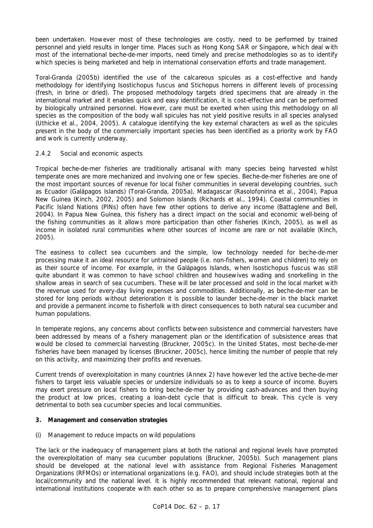been undertaken. However most of these technologies are costly, need to be performed by trained personnel and yield results in longer time. Places such as Hong Kong SAR or Singapore, which deal with most of the international beche-de-mer imports, need timely and precise methodologies so as to identify which species is being marketed and help in international conservation efforts and trade management.

Toral-Granda (2005b) identified the use of the calcareous spicules as a cost-effective and handy methodology for identifying *Isostichopus fuscus* and *Stichopus horrens* in different levels of processing (fresh, in brine or dried). The proposed methodology targets dried specimens that are already in the international market and it enables quick and easy identification, it is cost-effective and can be performed by biologically untrained personnel. However, care must be exerted when using this methodology on all species as the composition of the body wall spicules has not yield positive results in all species analysed (Uthicke *et al*., 2004, 2005). A catalogue identifying the key external characters as well as the spicules present in the body of the commercially important species has been identified as a priority work by FAO and work is currently underway.

### *2.4.2 Social and economic aspects*

Tropical beche-de-mer fisheries are traditionally artisanal with many species being harvested whilst temperate ones are more mechanized and involving one or few species. Beche-de-mer fisheries are one of the most important sources of revenue for local fisher communities in several developing countries, such as Ecuador (Galápagos Islands) (Toral-Granda, 2005a), Madagascar (Rasolofonirina *et al*., 2004), Papua New Guinea (Kinch, 2002, 2005) and Solomon Islands (Richards *et al*., 1994). Coastal communities in Pacific Island Nations (PINs) often have few other options to derive any income (Battaglene and Bell, 2004). In Papua New Guinea, this fishery has a direct impact on the social and economic well-being of the fishing communities as it allows more participation than other fisheries (Kinch, 2005), as well as income in isolated rural communities where other sources of income are rare or not available (Kinch, 2005).

The easiness to collect sea cucumbers and the simple, low technology needed for beche-de-mer processing make it an ideal resource for untrained people (i.e. non-fishers, women and children) to rely on as their source of income. For example, in the Galápagos Islands, when *Isostichopus fuscus* was still quite abundant it was common to have school children and housewives wading and snorkelling in the shallow areas in search of sea cucumbers. These will be later processed and sold in the local market with the revenue used for every-day living expenses and commodities. Additionally, as beche-de-mer can be stored for long periods without deterioration it is possible to launder beche-de-mer in the black market and provide a permanent income to fisherfolk with direct consequences to both natural sea cucumber and human populations.

In temperate regions, any concerns about conflicts between subsistence and commercial harvesters have been addressed by means of a fishery management plan or the identification of subsistence areas that would be closed to commercial harvesting (Bruckner, 2005c). In the United States, most beche-de-mer fisheries have been managed by licenses (Bruckner, 2005c), hence limiting the number of people that rely on this activity, and maximizing their profits and revenues.

Current trends of overexploitation in many countries (Annex 2) have however led the active beche-de-mer fishers to target less valuable species or undersize individuals so as to keep a source of income. Buyers may exert pressure on local fishers to bring beche-de-mer by providing cash-advances and then buying the product at low prices, creating a loan-debt cycle that is difficult to break. This cycle is very detrimental to both sea cucumber species and local communities.

### **3. Management and conservation strategies**

### *(i) Management to reduce impacts on wild populations*

The lack or the inadequacy of management plans at both the national and regional levels have prompted the overexploitation of many sea cucumber populations (Bruckner, 2005b). Such management plans should be developed at the national level with assistance from Regional Fisheries Management Organizations (RFMOs) or international organizations (e.g. FAO), and should include strategies both at the local/community and the national level. It is highly recommended that relevant national, regional and international institutions cooperate with each other so as to prepare comprehensive management plans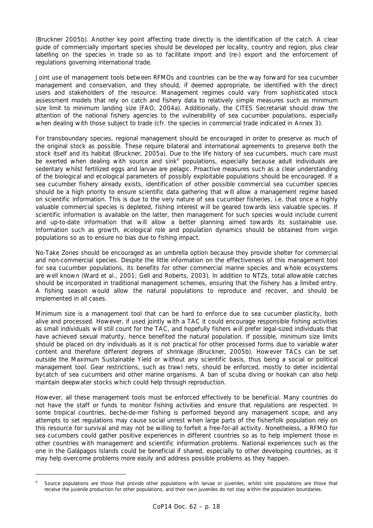(Bruckner 2005b). Another key point affecting trade directly is the identification of the catch. A clear guide of commercially important species should be developed per locality, country and region, plus clear labelling on the species in trade so as to facilitate import and (re-) export and the enforcement of regulations governing international trade.

Joint use of management tools between RFMOs and countries can be the way forward for sea cucumber management and conservation, and they should, if deemed appropriate, be identified with the direct users and stakeholders of the resource. Management regimes could vary from sophisticated stock assessment models that rely on catch and fishery data to relatively simple measures such as minimum size limit to minimum landing size (FAO, 2004a). Additionally, the CITES Secretariat should draw the attention of the national fishery agencies to the vulnerability of sea cucumber populations, especially when dealing with those subject to trade (cfr. the species in commercial trade indicated in Annex 3).

For transboundary species, regional management should be encouraged in order to preserve as much of the original stock as possible. These require bilateral and international agreements to preserve both the stock itself and its habitat (Bruckner, 2005a). Due to the life history of sea cucumbers, much care must be exerted when dealing with source and sink<sup>4</sup> populations, especially because adult individuals are sedentary whilst fertilized eggs and larvae are pelagic. Proactive measures such as a clear understanding of the biological and ecological parameters of possibly exploitable populations should be encouraged. If a sea cucumber fishery already exists, identification of other possible commercial sea cucumber species should be a high priority to ensure scientific data gathering that will allow a management regime based on scientific information. This is due to the very nature of sea cucumber fisheries, i.e. that once a highly valuable commercial species is depleted, fishing interest will be geared towards less valuable species. If scientific information is available on the latter, then management for such species would include current and up-to-date information that will allow a better planning aimed towards its sustainable use. Information such as growth, ecological role and population dynamics should be obtained from virgin populations so as to ensure no bias due to fishing impact.

No-Take Zones should be encouraged as an umbrella option because they provide shelter for commercial and non-commercial species. Despite the little information on the effectiveness of this management tool for sea cucumber populations, its benefits for other commercial marine species and whole ecosystems are well known (Ward *et al.,* 2001; Gell and Roberts, 2003). In addition to NTZs, total allowable catches should be incorporated in traditional management schemes, ensuring that the fishery has a limited entry. A fishing season would allow the natural populations to reproduce and recover, and should be implemented in all cases.

Minimum size is a management tool that can be hard to enforce due to sea cucumber plasticity, both alive and processed. However, if used jointly with a TAC it could encourage responsible fishing activities as small individuals will still count for the TAC, and hopefully fishers will prefer legal-sized individuals that have achieved sexual maturity, hence benefited the natural population. If possible, minimum size limits should be placed on dry individuals as it is not practical for other processed forms due to variable water content and therefore different degrees of shrinkage (Bruckner, 2005b). However TACs can be set outside the Maximum Sustainable Yield or without any scientific basis, thus being a social or political management tool. Gear restrictions, such as trawl nets, should be enforced, mostly to deter incidental bycatch of sea cucumbers and other marine organisms. A ban of scuba diving or hookah can also help maintain deepwater stocks which could help through reproduction.

However, all these management tools must be enforced effectively to be beneficial. Many countries do not have the staff or funds to monitor fishing activities and ensure that regulations are respected. In some tropical countries, beche-de-mer fishing is performed beyond any management scope, and any attempts to set regulations may cause social unrest when large parts of the fisherfolk population rely on this resource for survival and may not be willing to forfeit a free-for-all activity. Nonetheless, a RFMO for sea cucumbers could gather positive experiences in different countries so as to help implement those in other countries with management and scientific information problems. National experiences such as the one in the Galápagos Islands could be beneficial if shared, especially to other developing countries, as it may help overcome problems more easily and address possible problems as they happen.

*<sup>4</sup> Source populations are those that provide other populations with larvae or juveniles, whilst sink populations are those that receive the juvenile production for other populations, and their own juveniles do not stay within the population boundaries.*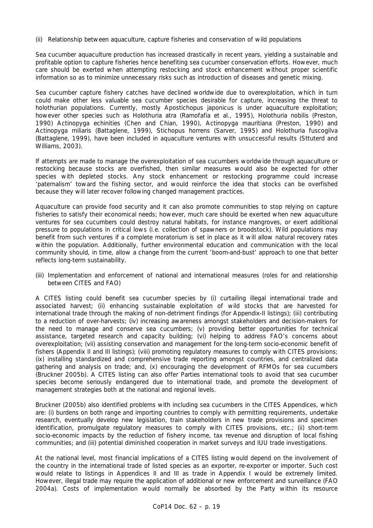### *(ii) Relationship between aquaculture, capture fisheries and conservation of wild populations*

Sea cucumber aquaculture production has increased drastically in recent years, yielding a sustainable and profitable option to capture fisheries hence benefiting sea cucumber conservation efforts. However, much care should be exerted when attempting restocking and stock enhancement without proper scientific information so as to minimize unnecessary risks such as introduction of diseases and genetic mixing.

Sea cucumber capture fishery catches have declined worldwide due to overexploitation, which in turn could make other less valuable sea cucumber species desirable for capture, increasing the threat to holothurian populations. Currently, mostly *Apostichopus japonicus* is under aquaculture exploitation; however other species such as *Holothuria atra* (Ramofafia *et al.,* 1995), *Holothuria nobilis* (Preston, 1990) *Actinopyga echinities* (Chen and Chian, 1990), *Actinopyga mauritiana* (Preston, 1990) and *Actinopyga miliaris* (Battaglene, 1999), *Stichopus horrens* (Sarver, 1995) and *Holothuria fuscogilva*  (Battaglene, 1999), have been included in aquaculture ventures with unsuccessful results (Sttuterd and Williams, 2003).

If attempts are made to manage the overexploitation of sea cucumbers worldwide through aquaculture or restocking because stocks are overfished, then similar measures would also be expected for other species with depleted stocks. Any stock enhancement or restocking programme could increase 'paternalism' toward the fishing sector, and would reinforce the idea that stocks can be overfished because they will later recover following changed management practices.

Aquaculture can provide food security and it can also promote communities to stop relying on capture fisheries to satisfy their economical needs; however, much care should be exerted when new aquaculture ventures for sea cucumbers could destroy natural habitats, for instance mangroves, or exert additional pressure to populations in critical lows (i.e. collection of spawners or broodstock). Wild populations may benefit from such ventures if a complete moratorium is set in place as it will allow natural recovery rates within the population. Additionally, further environmental education and communication with the local community should, in time, allow a change from the current 'boom-and-bust' approach to one that better reflects long-term sustainability.

#### *(iii) Implementation and enforcement of national and international measures (roles for and relationship between CITES and FAO)*

A CITES listing could benefit sea cucumber species by (i) curtailing illegal international trade and associated harvest; (ii) enhancing sustainable exploitation of wild stocks that are harvested for international trade through the making of non-detriment findings (for Appendix-II listings); (iii) contributing to a reduction of over-harvests; (iv) increasing awareness amongst stakeholders and decision-makers for the need to manage and conserve sea cucumbers; (v) providing better opportunities for technical assistance, targeted research and capacity building; (vi) helping to address FAO's concerns about overexploitation; (vii) assisting conservation and management for the long-term socio-economic benefit of fishers (Appendix II and III listings); (viii) promoting regulatory measures to comply with CITES provisions; (ix) installing standardized and comprehensive trade reporting amongst countries, and centralized data gathering and analysis on trade; and, (x) encouraging the development of RFMOs for sea cucumbers (Bruckner 2005b). A CITES listing can also offer Parties international tools to avoid that sea cucumber species become seriously endangered due to international trade, and promote the development of management strategies both at the national and regional levels.

Bruckner (2005b) also identified problems with including sea cucumbers in the CITES Appendices, which are: (i) burdens on both range and importing countries to comply with permitting requirements, undertake research, eventually develop new legislation, train stakeholders in new trade provisions and specimen identification, promulgate regulatory measures to comply with CITES provisions, etc.; (ii) short-term socio-economic impacts by the reduction of fishery income, tax revenue and disruption of local fishing communities; and (iii) potential diminished cooperation in market surveys and IUU trade investigations.

At the national level, most financial implications of a CITES listing would depend on the involvement of the country in the international trade of listed species as an exporter, re-exporter or importer. Such cost would relate to listings in Appendices II and III as trade in Appendix I would be extremely limited. However, illegal trade may require the application of additional or new enforcement and surveillance (FAO 2004a). Costs of implementation would normally be absorbed by the Party within its resource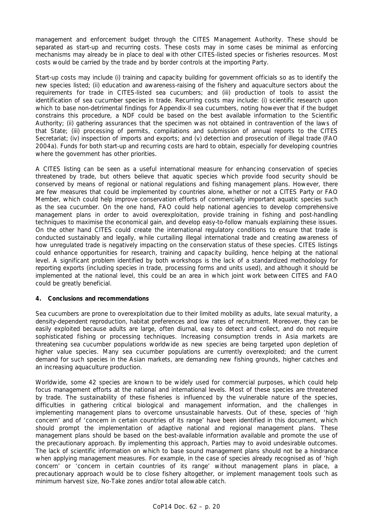management and enforcement budget through the CITES Management Authority. These should be separated as start-up and recurring costs. These costs may in some cases be minimal as enforcing mechanisms may already be in place to deal with other CITES-listed species or fisheries resources. Most costs would be carried by the trade and by border controls at the importing Party.

Start-up costs may include (i) training and capacity building for government officials so as to identify the new species listed; (ii) education and awareness-raising of the fishery and aquaculture sectors about the requirements for trade in CITES-listed sea cucumbers; and (iii) production of tools to assist the identification of sea cucumber species in trade. Recurring costs may include: (i) scientific research upon which to base non-detrimental findings for Appendix-II sea cucumbers, noting however that if the budget constrains this procedure, a NDF could be based on the best available information to the Scientific Authority; (ii) gathering assurances that the specimen was not obtained in contravention of the laws of that State; (iii) processing of permits, compilations and submission of annual reports to the CITES Secretariat; (iv) inspection of imports and exports; and (v) detection and prosecution of illegal trade (FAO 2004a). Funds for both start-up and recurring costs are hard to obtain, especially for developing countries where the government has other priorities.

A CITES listing can be seen as a useful international measure for enhancing conservation of species threatened by trade, but others believe that aquatic species which provide food security should be conserved by means of regional or national regulations and fishing management plans. However, there are few measures that could be implemented by countries alone, whether or not a CITES Party or FAO Member, which could help improve conservation efforts of commercially important aquatic species such as the sea cucumber. On the one hand, FAO could help national agencies to develop comprehensive management plans in order to avoid overexploitation, provide training in fishing and post-handling techniques to maximise the economical gain, and develop easy-to-follow manuals explaining these issues. On the other hand CITES could create the international regulatory conditions to ensure that trade is conducted sustainably and legally, while curtailing illegal international trade and creating awareness of how unregulated trade is negatively impacting on the conservation status of these species. CITES listings could enhance opportunities for research, training and capacity building, hence helping at the national level. A significant problem identified by both workshops is the lack of a standardized methodology for reporting exports (including species in trade, processing forms and units used), and although it should be implemented at the national level, this could be an area in which joint work between CITES and FAO could be greatly beneficial.

### **4. Conclusions and recommendations**

Sea cucumbers are prone to overexploitation due to their limited mobility as adults, late sexual maturity, a density-dependent reproduction, habitat preferences and low rates of recruitment. Moreover, they can be easily exploited because adults are large, often diurnal, easy to detect and collect, and do not require sophisticated fishing or processing techniques. Increasing consumption trends in Asia markets are threatening sea cucumber populations worldwide as new species are being targeted upon depletion of higher value species. Many sea cucumber populations are currently overexploited; and the current demand for such species in the Asian markets, are demanding new fishing grounds, higher catches and an increasing aquaculture production.

Worldwide, some 42 species are known to be widely used for commercial purposes, which could help focus management efforts at the national and international levels. Most of these species are threatened by trade. The sustainability of these fisheries is influenced by the vulnerable nature of the species, difficulties in gathering critical biological and management information, and the challenges in implementing management plans to overcome unsustainable harvests. Out of these, species of 'high concern' and of 'concern in certain countries of its range' have been identified in this document, which should prompt the implementation of adaptive national and regional management plans. These management plans should be based on the best-available information available and promote the use of the precautionary approach. By implementing this approach, Parties may to avoid undesirable outcomes. The lack of scientific information on which to base sound management plans should not be a hindrance when applying management measures. For example, in the case of species already recognised as of 'high concern' or 'concern in certain countries of its range' without management plans in place, a precautionary approach would be to close fishery altogether, or implement management tools such as minimum harvest size, No-Take zones and/or total allowable catch.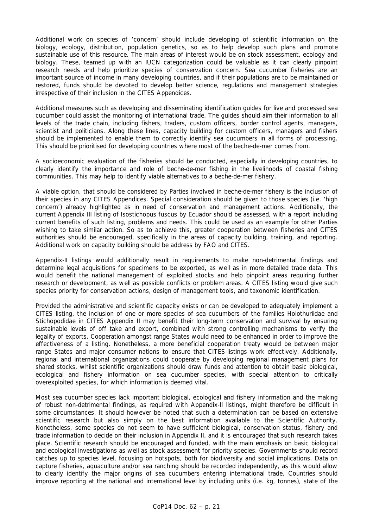Additional work on species of 'concern' should include developing of scientific information on the biology, ecology, distribution, population genetics, so as to help develop such plans and promote sustainable use of this resource. The main areas of interest would be on stock assessment, ecology and biology. These, teamed up with an IUCN categorization could be valuable as it can clearly pinpoint research needs and help prioritize species of conservation concern. Sea cucumber fisheries are an important source of income in many developing countries, and if their populations are to be maintained or restored, funds should be devoted to develop better science, regulations and management strategies irrespective of their inclusion in the CITES Appendices.

Additional measures such as developing and disseminating identification guides for live and processed sea cucumber could assist the monitoring of international trade. The guides should aim their information to all levels of the trade chain, including fishers, traders, custom officers, border control agents, managers, scientist and politicians. Along these lines, capacity building for custom officers, managers and fishers should be implemented to enable them to correctly identify sea cucumbers in all forms of processing. This should be prioritised for developing countries where most of the beche-de-mer comes from.

A socioeconomic evaluation of the fisheries should be conducted, especially in developing countries, to clearly identify the importance and role of beche-de-mer fishing in the livelihoods of coastal fishing communities. This may help to identify viable alternatives to a beche-de-mer fishery.

A viable option, that should be considered by Parties involved in beche-de-mer fishery is the inclusion of their species in any CITES Appendices. Special consideration should be given to those species (i.e. 'high concern') already highlighted as in need of conservation and management actions. Additionally, the current Appendix III listing of *Isostichopus fuscus* by Ecuador should be assessed, with a report including current benefits of such listing, problems and needs. This could be used as an example for other Parties wishing to take similar action. So as to achieve this, greater cooperation between fisheries and CITES authorities should be encouraged, specifically in the areas of capacity building, training, and reporting. Additional work on capacity building should be address by FAO and CITES.

Appendix-II listings would additionally result in requirements to make non-detrimental findings and determine legal acquisitions for specimens to be exported, as well as in more detailed trade data. This would benefit the national management of exploited stocks and help pinpoint areas requiring further research or development, as well as possible conflicts or problem areas. A CITES listing would give such species priority for conservation actions, design of management tools, and taxonomic identification.

Provided the administrative and scientific capacity exists or can be developed to adequately implement a CITES listing, the inclusion of one or more species of sea cucumbers of the families Holothuriidae and Stichopodidae in CITES Appendix II may benefit their long-term conservation and survival by ensuring sustainable levels of off take and export, combined with strong controlling mechanisms to verify the legality of exports. Cooperation amongst range States would need to be enhanced in order to improve the effectiveness of a listing. Nonetheless, a more beneficial cooperation treaty would be between major range States and major consumer nations to ensure that CITES-listings work effectively. Additionally, regional and international organizations could cooperate by developing regional management plans for shared stocks, whilst scientific organizations should draw funds and attention to obtain basic biological, ecological and fishery information on sea cucumber species, with special attention to critically overexploited species, for which information is deemed vital.

Most sea cucumber species lack important biological, ecological and fishery information and the making of robust non-detrimental findings, as required with Appendix-II listings, might therefore be difficult in some circumstances. It should however be noted that such a determination can be based on extensive scientific research but also simply on the best information available to the Scientific Authority. Nonetheless, some species do not seem to have sufficient biological, conservation status, fishery and trade information to decide on their inclusion in Appendix II, and it is encouraged that such research takes place. Scientific research should be encouraged and funded, with the main emphasis on basic biological and ecological investigations as well as stock assessment for priority species. Governments should record catches up to species level, focusing on hotspots, both for biodiversity and social implications. Data on capture fisheries, aquaculture and/or sea ranching should be recorded independently, as this would allow to clearly identify the major origins of sea cucumbers entering international trade. Countries should improve reporting at the national and international level by including units (i.e. kg, tonnes), state of the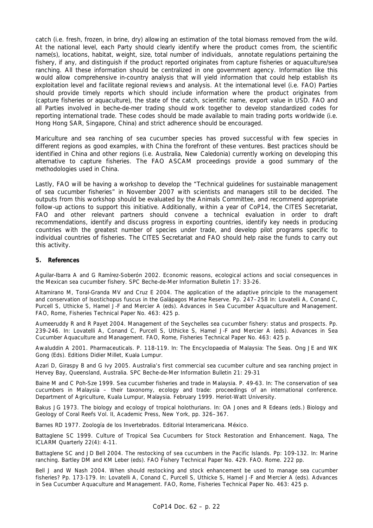catch (i.e. fresh, frozen, in brine, dry) allowing an estimation of the total biomass removed from the wild. At the national level, each Party should clearly identify where the product comes from, the scientific name(s), locations, habitat, weight, size, total number of individuals, annotate regulations pertaining the fishery, if any, and distinguish if the product reported originates from capture fisheries or aquaculture/sea ranching. All these information should be centralized in one government agency. Information like this would allow comprehensive in-country analysis that will yield information that could help establish its exploitation level and facilitate regional reviews and analysis. At the international level (i.e. FAO) Parties should provide timely reports which should include information where the product originates from (capture fisheries or aquaculture), the state of the catch, scientific name, export value in USD. FAO and all Parties involved in beche-de-mer trading should work together to develop standardized codes for reporting international trade. These codes should be made available to main trading ports worldwide (i.e. Hong Hong SAR, Singapore, China) and strict adherence should be encouraged.

Mariculture and sea ranching of sea cucumber species has proved successful with few species in different regions as good examples, with China the forefront of these ventures. Best practices should be identified in China and other regions (i.e. Australia, New Caledonia) currently working on developing this alternative to capture fisheries. The FAO ASCAM proceedings provide a good summary of the methodologies used in China.

Lastly, FAO will be having a workshop to develop the "Technical guidelines for sustainable management of sea cucumber fisheries" in November 2007 with scientists and managers still to be decided. The outputs from this workshop should be evaluated by the Animals Committee, and recommend appropriate follow-up actions to support this initiative. Additionally, within a year of CoP14, the CITES Secretariat, FAO and other relevant partners should convene a technical evaluation in order to draft recommendations, identify and discuss progress in exporting countries, identify key needs in producing countries with the greatest number of species under trade, and develop pilot programs specific to individual countries of fisheries. The CITES Secretariat and FAO should help raise the funds to carry out this activity.

#### **5. References**

Aguilar-Ibarra A and G Ramírez-Soberón 2002. Economic reasons, ecological actions and social consequences in the Mexican sea cucumber fishery. SPC Beche-de-Mer Information Bulletin 17: 33-26.

Altamirano M, Toral-Granda MV and Cruz E 2004. The application of the adaptive principle to the management and conservation of *Isostichopus fuscus* in the Galápagos Marine Reserve. Pp. 247–258 In: Lovatelli A, Conand C, Purcell S, Uthicke S, Hamel J-F and Mercier A (eds). Advances in Sea Cucumber Aquaculture and Management. FAO, Rome, Fisheries Technical Paper No. 463: 425 p.

Aumeeruddy R and R Payet 2004. Management of the Seychelles sea cucumber fishery: status and prospects. Pp. 239-246. In: Lovatelli A, Conand C, Purcell S, Uthicke S, Hamel J-F and Mercier A (eds). Advances in Sea Cucumber Aquaculture and Management. FAO, Rome, Fisheries Technical Paper No. 463: 425 p.

Awaluddin A 2001. Pharmaceuticals. P. 118-119. In: The Encyclopaedia of Malaysia: The Seas. Ong JE and WK Gong (Eds). Editions Didier Millet, Kuala Lumpur.

Azari D, Giraspy B and G Ivy 2005. Australia's first commercial sea cucumber culture and sea ranching project in Hervey Bay, Queensland, Australia. SPC Beche-de-Mer Information Bulletin 21: 29-31

Baine M and C Poh-Sze 1999. Sea cucumber fisheries and trade in Malaysia. P. 49-63. In: The conservation of sea cucumbers in Malaysia – their taxonomy, ecology and trade: proceedings of an international conference. Department of Agriculture, Kuala Lumpur, Malaysia. February 1999. Heriot-Watt University.

Bakus JG 1973. The biology and ecology of tropical holothurians. In: OA Jones and R Edeans (eds.) Biology and Geology of Coral Reefs Vol. II, Academic Press, New York, pp. 326–367.

Barnes RD 1977. Zoología de los Invertebrados. Editorial Interamericana. México.

Battaglene SC 1999. Culture of Tropical Sea Cucumbers for Stock Restoration and Enhancement. Naga, The ICLARM Quarterly 22(4): 4-11.

Battaglene SC and JD Bell 2004. The restocking of sea cucumbers in the Pacific Islands. Pp: 109-132. In: Marine ranching. Bartley DM and KM Leber (eds). FAO Fishery Technical Paper No. 429. FAO. Rome. 222 pp.

Bell J and W Nash 2004. When should restocking and stock enhancement be used to manage sea cucumber fisheries? Pp. 173-179. In: Lovatelli A, Conand C, Purcell S, Uthicke S, Hamel J-F and Mercier A (eds). Advances in Sea Cucumber Aquaculture and Management. FAO, Rome, Fisheries Technical Paper No. 463: 425 p.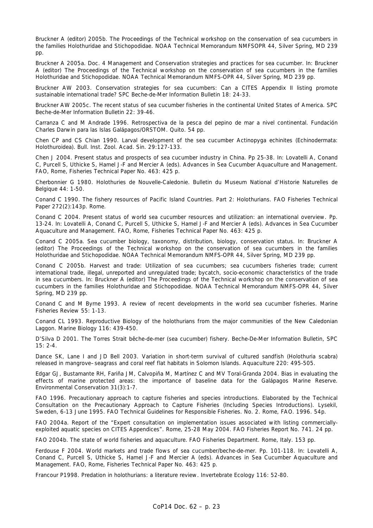Bruckner A (editor) 2005b. The Proceedings of the Technical workshop on the conservation of sea cucumbers in the families Holothuridae and Stichopodidae. NOAA Technical Memorandum NMFSOPR 44, Silver Spring, MD 239 pp.

Bruckner A 2005a. Doc. 4 Management and Conservation strategies and practices for sea cucumber. In: Bruckner A (editor) The Proceedings of the Technical workshop on the conservation of sea cucumbers in the families Holothuridae and Stichopodidae. NOAA Technical Memorandum NMFS-OPR 44, Silver Spring, MD 239 pp.

Bruckner AW 2003. Conservation strategies for sea cucumbers: Can a CITES Appendix II listing promote sustainable international trade? SPC Beche-de-Mer Information Bulletin 18: 24-33.

Bruckner AW 2005c. The recent status of sea cucumber fisheries in the continental United States of America. SPC Beche-de-Mer Information Bulletin 22: 39-46.

Carranza C and M Andrade 1996. Retrospectiva de la pesca del pepino de mar a nivel continental. Fundación Charles Darwin para las Islas Galápagos/ORSTOM. Quito. 54 pp.

Chen CP and CS Chian 1990. Larval development of the sea cucumber Actinopyga echinites (Echinodermata: Holothuroidea). Bull. Inst. Zool. Acad. Sin. 29:127-133.

Chen J 2004. Present status and prospects of sea cucumber industry in China. Pp 25-38. In: Lovatelli A, Conand C, Purcell S, Uthicke S, Hamel J-F and Mercier A (eds). Advances in Sea Cucumber Aquaculture and Management. FAO, Rome, Fisheries Technical Paper No. 463: 425 p.

Cherbonnier G 1980. Holothuries de Nouvelle-Caledonie. Bulletin du Museum National d'Historie Naturelles de Belgique 44: 1-50.

Conand C 1990. The fishery resources of Pacific Island Countries. Part 2: Holothurians. FAO Fisheries Technical Paper 272(2):143p. Rome.

Conand C 2004. Present status of world sea cucumber resources and utilization: an international overview. Pp. 13-24. In: Lovatelli A, Conand C, Purcell S, Uthicke S, Hamel J-F and Mercier A (eds). Advances in Sea Cucumber Aquaculture and Management. FAO, Rome, Fisheries Technical Paper No. 463: 425 p.

Conand C 2005a. Sea cucumber biology, taxonomy, distribution, biology, conservation status. In: Bruckner A (editor) The Proceedings of the Technical workshop on the conservation of sea cucumbers in the families Holothuridae and Stichopodidae. NOAA Technical Memorandum NMFS-OPR 44, Silver Spring, MD 239 pp.

Conand C 2005b. Harvest and trade: Utilization of sea cucumbers; sea cucumbers fisheries trade; current international trade, illegal, unreported and unregulated trade; bycatch, socio-economic characteristics of the trade in sea cucumbers. In: Bruckner A (editor) The Proceedings of the Technical workshop on the conservation of sea cucumbers in the families Holothuridae and Stichopodidae. NOAA Technical Memorandum NMFS-OPR 44, Silver Spring, MD 239 pp.

Conand C and M Byrne 1993. A review of recent developments in the world sea cucumber fisheries. Marine Fisheries Review 55: 1-13.

Conand CL 1993. Reproductive Biology of the holothurians from the major communities of the New Caledonian Laggon. Marine Biology 116: 439-450.

D'Silva D 2001. The Torres Strait bêche-de-mer (sea cucumber) fishery. Beche-De-Mer Information Bulletin, SPC 15: 2-4.

Dance SK, Lane I and JD Bell 2003. Variation in short-term survival of cultured sandfish (*Holothuria scabra*) released in mangrove–seagrass and coral reef flat habitats in Solomon Islands. Aquaculture 220: 495-505.

Edgar GJ, Bustamante RH, Fariña JM, Calvopiña M, Martínez C and MV Toral-Granda 2004. Bias in evaluating the effects of marine protected areas: the importance of baseline data for the Galápagos Marine Reserve. Environmental Conservation 31(3):1-7.

FAO 1996. Precautionary approach to capture fisheries and species introductions. Elaborated by the Technical Consultation on the Precautionary Approach to Capture Fisheries (Including Species Introductions). Lysekil, Sweden, 6-13 June 1995. FAO Technical Guidelines for Responsible Fisheries. No. 2. Rome, FAO. 1996. 54p.

FAO 2004a. Report of the "Expert consultation on implementation issues associated with listing commerciallyexploited aquatic species on CITES Appendices". Rome, 25-28 May 2004. FAO Fisheries Report No. 741. 24 pp.

FAO 2004b. The state of world fisheries and aquaculture. FAO Fisheries Department. Rome, Italy. 153 pp.

Ferdouse F 2004. World markets and trade flows of sea cucumber/beche-de-mer. Pp. 101-118. In: Lovatelli A, Conand C, Purcell S, Uthicke S, Hamel J-F and Mercier A (eds). Advances in Sea Cucumber Aquaculture and Management. FAO, Rome, Fisheries Technical Paper No. 463: 425 p.

Francour P1998. Predation in holothurians: a literature review. Invertebrate Ecology 116: 52-80.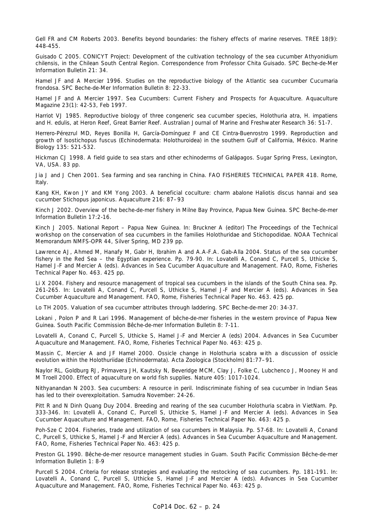Gell FR and CM Roberts 2003. Benefits beyond boundaries: the fishery effects of marine reserves. TREE 18(9): 448-455.

Guisado C 2005. CONICYT Project: Development of the cultivation technology of the sea cucumber Athyonidium chilensis, in the Chilean South Central Region. Correspondence from Professor Chita Guisado. SPC Beche-de-Mer Information Bulletin 21: 34.

Hamel JF and A Mercier 1996. Studies on the reproductive biology of the Atlantic sea cucumber Cucumaria frondosa. SPC Beche-de-Mer Information Bulletin 8: 22-33.

Hamel JF and A Mercier 1997. Sea Cucumbers: Current Fishery and Prospects for Aquaculture. Aquaculture Magazine 23(1): 42-53, Feb 1997.

Harriot VJ 1985. Reproductive biology of three congeneric sea cucumber species, Holothuria atra, H. impatiens and H. edulis, at Heron Reef, Great Barrier Reef. Australian Journal of Marine and Freshwater Research 36: 51-7.

Herrero-Pérezrul MD, Reyes Bonilla H, García-Domínguez F and CE Cintra-Buenrostro 1999. Reproduction and growth of *Isostichopus fuscus* (Echinodermata: Holothuroidea) in the southern Gulf of California, México. Marine Biology 135: 521-532.

Hickman CJ 1998. A field guide to sea stars and other echinoderms of Galápagos. Sugar Spring Press, Lexington, VA, USA. 83 pp.

Jia J and J Chen 2001. Sea farming and sea ranching in China. FAO FISHERIES TECHNICAL PAPER 418. Rome, Italy.

Kang KH, Kwon JY and KM Yong 2003. A beneficial coculture: charm abalone Haliotis discus hannai and sea cucumber Stichopus japonicus. Aquaculture 216: 87–93

Kinch J 2002. Overview of the beche-de-mer fishery in Milne Bay Province, Papua New Guinea. SPC Beche-de-mer Information Bulletin 17:2-16.

Kinch J 2005. National Report – Papua New Guinea. In: Bruckner A (editor) The Proceedings of the Technical workshop on the conservation of sea cucumbers in the families Holothuridae and Stichopodidae. NOAA Technical Memorandum NMFS-OPR 44, Silver Spring, MD 239 pp.

Lawrence AJ, Ahmed M, Hanafy M, Gabr H, Ibrahim A and A.A-F.A. Gab-Alla 2004. Status of the sea cucumber fishery in the Red Sea – the Egyptian experience. Pp. 79-90. In: Lovatelli A, Conand C, Purcell S, Uthicke S, Hamel J-F and Mercier A (eds). Advances in Sea Cucumber Aquaculture and Management. FAO, Rome, Fisheries Technical Paper No. 463. 425 pp.

Li X 2004. Fishery and resource management of tropical sea cucumbers in the islands of the South China sea. Pp. 261-265. In: Lovatelli A, Conand C, Purcell S, Uthicke S, Hamel J-F and Mercier A (eds). Advances in Sea Cucumber Aquaculture and Management. FAO, Rome, Fisheries Technical Paper No. 463. 425 pp.

Lo TH 2005. Valuation of sea cucumber attributes through laddering. SPC Beche-de-mer 20: 34-37.

Lokani , Polon P and R Lari 1996. Management of bêche-de-mer fisheries in the western province of Papua New Guinea. South Pacific Commission Bêche-de-mer Information Bulletin 8: 7-11.

Lovatelli A, Conand C, Purcell S, Uthicke S, Hamel J-F and Mercier A (eds) 2004. Advances in Sea Cucumber Aquaculture and Management. FAO, Rome, Fisheries Technical Paper No. 463: 425 p.

Massin C, Mercier A and JF Hamel 2000. Ossicle change in Holothuria scabra with a discussion of ossicle evolution within the Holothuriidae (Echinodermata). Acta Zoologica (Stockholm) 81:77–91.

Naylor RL, Goldburg RJ, Primavera JH, Kautsky N, Beveridge MCM, Clay J, Folke C, Lubchenco J, Mooney H and M Troell 2000. Effect of aquaculture on world fish supplies. Nature 405: 1017-1024.

Nithyanandan N 2003. Sea cucumbers: A resource in peril. Indiscriminate fishing of sea cucumber in Indian Seas has led to their overexploitation. Samudra November: 24-26.

Pitt R and N Dinh Quang Duy 2004. Breeding and rearing of the sea cucumber Holothuria scabra in VietNam. Pp. 333-346. In: Lovatelli A, Conand C, Purcell S, Uthicke S, Hamel J-F and Mercier A (eds). Advances in Sea Cucumber Aquaculture and Management. FAO, Rome, Fisheries Technical Paper No. 463: 425 p.

Poh-Sze C 2004. Fisheries, trade and utilization of sea cucumbers in Malaysia. Pp. 57-68. In: Lovatelli A, Conand C, Purcell S, Uthicke S, Hamel J-F and Mercier A (eds). Advances in Sea Cucumber Aquaculture and Management. FAO, Rome, Fisheries Technical Paper No. 463: 425 p.

Preston GL 1990. Bêche-de-mer resource management studies in Guam. South Pacific Commission Bêche-de-mer Information Bulletin 1: 8-9

Purcell S 2004. Criteria for release strategies and evaluating the restocking of sea cucumbers. Pp. 181-191. In: Lovatelli A, Conand C, Purcell S, Uthicke S, Hamel J-F and Mercier A (eds). Advances in Sea Cucumber Aquaculture and Management. FAO, Rome, Fisheries Technical Paper No. 463: 425 p.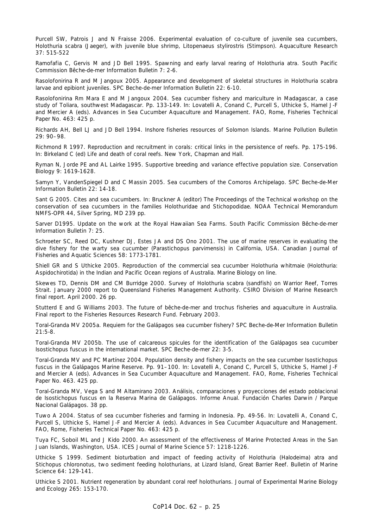Purcell SW, Patrois J and N Fraisse 2006. Experimental evaluation of co-culture of juvenile sea cucumbers, Holothuria scabra (Jaeger), with juvenile blue shrimp, Litopenaeus stylirostris (Stimpson). Aquaculture Research 37: 515-522

Ramofafia C, Gervis M and JD Bell 1995. Spawning and early larval rearing of Holothuria atra. South Pacific Commission Bêche-de-mer Information Bulletin 7: 2-6.

Rasolofonirina R and M Jangoux 2005. Appearance and development of skeletal structures in Holothuria scabra larvae and epibiont juveniles. SPC Beche-de-mer Information Bulletin 22: 6-10.

Rasolofonirina Rm Mara E and M Jangoux 2004. Sea cucumber fishery and mariculture in Madagascar, a case study of Toliara, southwest Madagascar. Pp. 133-149. In: Lovatelli A, Conand C, Purcell S, Uthicke S, Hamel J-F and Mercier A (eds). Advances in Sea Cucumber Aquaculture and Management. FAO, Rome, Fisheries Technical Paper No. 463: 425 p.

Richards AH, Bell LJ and JD Bell 1994. Inshore fisheries resources of Solomon Islands. Marine Pollution Bulletin 29: 90–98.

Richmond R 1997. Reproduction and recruitment in corals: critical links in the persistence of reefs. Pp. 175-196. In: Birkeland C (ed) Life and death of coral reefs. New York, Chapman and Hall.

Ryman N, Jorde PE and AL Lairke 1995. Supportive breeding and variance effective population size. Conservation Biology 9: 1619-1628.

Samyn Y, VandenSpiegel D and C Massin 2005. Sea cucumbers of the Comoros Archipelago. SPC Beche-de-Mer Information Bulletin 22: 14-18.

Sant G 2005. Cites and sea cucumbers. In: Bruckner A (editor) The Proceedings of the Technical workshop on the conservation of sea cucumbers in the families Holothuridae and Stichopodidae. NOAA Technical Memorandum NMFS-OPR 44, Silver Spring, MD 239 pp.

Sarver D1995. Update on the work at the Royal Hawaiian Sea Farms. South Pacific Commission Bêche-de-mer Information Bulletin 7: 25.

Schroeter SC, Reed DC, Kushner DJ, Estes JA and DS Ono 2001. The use of marine reserves in evaluating the dive fishery for the warty sea cucumber (Parastichopus parvimensis) in California, USA. Canadian Journal of Fisheries and Aquatic Sciences 58: 1773-1781.

Shiell GR and S Uthicke 2005. Reproduction of the commercial sea cucumber Holothuria whitmaie (Holothuria: Aspidochirotida) in the Indian and Pacific Ocean regions of Australia. Marine Biology on line.

Skewes TD, Dennis DM and CM Burridge 2000. Survey of Holothuria scabra (sandfish) on Warrior Reef, Torres Strait. January 2000 report to Queensland Fisheries Management Authority. CSIRO Division of Marine Research final report. April 2000. 26 pp.

Stutterd E and G Williams 2003. The future of bêche-de-mer and trochus fisheries and aquaculture in Australia. Final report to the Fisheries Resources Research Fund. February 2003.

Toral-Granda MV 2005a. Requiem for the Galápagos sea cucumber fishery? SPC Beche-de-Mer Information Bulletin 21:5-8.

Toral-Granda MV 2005b. The use of calcareous spicules for the identification of the Galápagos sea cucumber *Isostichopus fuscus* in the international market. SPC Beche-de-mer 22: 3-5.

Toral-Granda MV and PC Martínez 2004. Population density and fishery impacts on the sea cucumber *Isostichopus fuscus* in the Galápagos Marine Reserve. Pp. 91–100. In: Lovatelli A, Conand C, Purcell S, Uthicke S, Hamel J-F and Mercier A (eds). Advances in Sea Cucumber Aquaculture and Management. FAO, Rome, Fisheries Technical Paper No. 463. 425 pp.

Toral-Granda MV, Vega S and M Altamirano 2003. Análisis, comparaciones y proyecciones del estado poblacional de *Isostichopus fuscus* en la Reserva Marina de Galápagos. Informe Anual. Fundación Charles Darwin / Parque Nacional Galápagos. 38 pp.

Tuwo A 2004. Status of sea cucumber fisheries and farming in Indonesia. Pp. 49-56. In: Lovatelli A, Conand C, Purcell S, Uthicke S, Hamel J-F and Mercier A (eds). Advances in Sea Cucumber Aquaculture and Management. FAO, Rome, Fisheries Technical Paper No. 463: 425 p.

Tuya FC, Soboil ML and J Kido 2000. An assessment of the effectiveness of Marine Protected Areas in the San Juan Islands, Washington, USA. ICES Journal of Marine Science 57: 1218-1226.

Uthicke S 1999. Sediment bioturbation and impact of feeding activity of Holothuria (Halodeima) atra and Stichopus chloronotus, two sediment feeding holothurians, at Lizard Island, Great Barrier Reef. Bulletin of Marine Science 64: 129-141.

Uthicke S 2001. Nutrient regeneration by abundant coral reef holothurians. Journal of Experimental Marine Biology and Ecology 265: 153-170.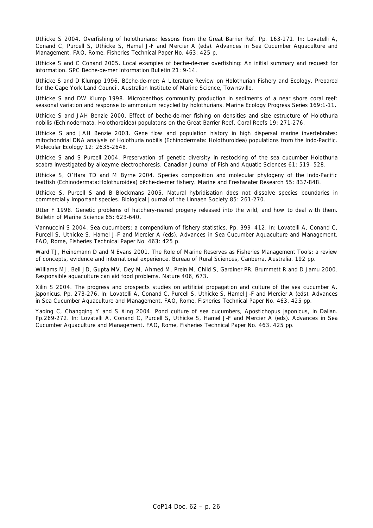Uthicke S 2004. Overfishing of holothurians: lessons from the Great Barrier Ref. Pp. 163-171. In: Lovatelli A, Conand C, Purcell S, Uthicke S, Hamel J-F and Mercier A (eds). Advances in Sea Cucumber Aquaculture and Management. FAO, Rome, Fisheries Technical Paper No. 463: 425 p.

Uthicke S and C Conand 2005. Local examples of beche-de-mer overfishing: An initial summary and request for information. SPC Beche-de-mer Information Bulletin 21: 9-14.

Uthicke S and D Klumpp 1996. Bêche-de-mer: A Literature Review on Holothurian Fishery and Ecology. Prepared for the Cape York Land Council. Australian Institute of Marine Science, Townsville.

Uthicke S and DW Klump 1998. Microbenthos community production in sediments of a near shore coral reef: seasonal variation and response to ammonium recycled by holothurians. Marine Ecology Progress Series 169:1-11.

Uthicke S and JAH Benzie 2000. Effect of beche-de-mer fishing on densities and size estructure of Holothuria nobilis (Echinodermata, Holothoroidea) populatons on the Great Barrier Reef. Coral Reefs 19: 271-276.

Uthicke S and JAH Benzie 2003. Gene flow and population history in high dispersal marine invertebrates: mitochondrial DNA analysis of Holothuria nobilis (Echinodermata: Holothuroidea) populations from the Indo-Pacific. Molecular Ecology 12: 2635-2648.

Uthicke S and S Purcell 2004. Preservation of genetic diversity in restocking of the sea cucumber Holothuria scabra investigated by allozyme electrophoresis. Canadian Journal of Fish and Aquatic Sciences 61: 519–528.

Uthicke S, O'Hara TD and M Byrne 2004. Species composition and molecular phylogeny of the Indo-Pacific teatfish (Echinodermata:Holothuroidea) bêche-de-mer fishery. Marine and Freshwater Research 55: 837-848.

Uthicke S, Purcell S and B Blockmans 2005. Natural hybridisation does not dissolve species boundaries in commercially important species. Biological Journal of the Linnaen Society 85: 261-270.

Utter F 1998. Genetic problems of hatchery-reared progeny released into the wild, and how to deal with them. Bulletin of Marine Science 65: 623-640.

Vannuccini S 2004. Sea cucumbers: a compendium of fishery statistics. Pp. 399–412. In: Lovatelli A, Conand C, Purcell S, Uthicke S, Hamel J-F and Mercier A (eds). Advances in Sea Cucumber Aquaculture and Management. FAO, Rome, Fisheries Technical Paper No. 463: 425 p.

Ward T.J. Heinemann D and N Evans 2001. The Role of Marine Reserves as Fisheries Management Tools: a review of concepts, evidence and international experience. Bureau of Rural Sciences, Canberra, Australia. 192 pp.

Williams MJ, Bell JD, Gupta MV, Dey M, Ahmed M, Prein M, Child S, Gardiner PR, Brummett R and D Jamu 2000. Responsible aquaculture can aid food problems. Nature 406, 673.

Xilin S 2004. The progress and prospects studies on artificial propagation and culture of the sea cucumber A. japonicus. Pp. 273-276. In: Lovatelli A, Conand C, Purcell S, Uthicke S, Hamel J-F and Mercier A (eds). Advances in Sea Cucumber Aquaculture and Management. FAO, Rome, Fisheries Technical Paper No. 463. 425 pp.

Yaqing C, Changqing Y and S Xing 2004. Pond culture of sea cucumbers, Apostichopus japonicus, in Dalian. Pp.269-272. In: Lovatelli A, Conand C, Purcell S, Uthicke S, Hamel J-F and Mercier A (eds). Advances in Sea Cucumber Aquaculture and Management. FAO, Rome, Fisheries Technical Paper No. 463. 425 pp.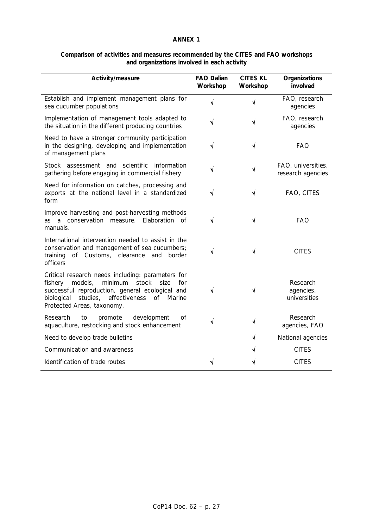| Comparison of activities and measures recommended by the CITES and FAO workshops |
|----------------------------------------------------------------------------------|
| and organizations involved in each activity                                      |

| Activity/measure                                                                                                                                                                                                                                    | <b>FAO Dalian</b><br>Workshop | <b>CITES KL</b><br>Workshop | Organizations<br>involved               |
|-----------------------------------------------------------------------------------------------------------------------------------------------------------------------------------------------------------------------------------------------------|-------------------------------|-----------------------------|-----------------------------------------|
| Establish and implement management plans for<br>sea cucumber populations                                                                                                                                                                            | $\sqrt{}$                     | $\sqrt{2}$                  | FAO, research<br>agencies               |
| Implementation of management tools adapted to<br>the situation in the different producing countries                                                                                                                                                 | √                             | $\sqrt{}$                   | FAO, research<br>agencies               |
| Need to have a stronger community participation<br>in the designing, developing and implementation<br>of management plans                                                                                                                           | √                             | $\sqrt{}$                   | <b>FAO</b>                              |
| Stock assessment and scientific information<br>gathering before engaging in commercial fishery                                                                                                                                                      | √                             | $\sqrt{}$                   | FAO, universities,<br>research agencies |
| Need for information on catches, processing and<br>exports at the national level in a standardized<br>form                                                                                                                                          | √                             | √                           | FAO, CITES                              |
| Improve harvesting and post-harvesting methods<br>Elaboration of<br>as a conservation measure.<br>manuals.                                                                                                                                          | √                             | √                           | <b>FAO</b>                              |
| International intervention needed to assist in the<br>conservation and management of sea cucumbers;<br>of Customs, clearance<br>training<br>and<br>border<br>officers                                                                               | √                             | √                           | <b>CITES</b>                            |
| Critical research needs including: parameters for<br>models,<br>minimum<br>stock<br>fishery<br>size<br>for<br>successful reproduction, general ecological and<br>studies,<br>effectiveness<br>biological<br>of Marine<br>Protected Areas, taxonomy. | √                             | √                           | Research<br>agencies,<br>universities   |
| Research<br>to<br>promote<br>development<br>Οf<br>aquaculture, restocking and stock enhancement                                                                                                                                                     | √                             | $\sqrt{}$                   | Research<br>agencies, FAO               |
| Need to develop trade bulletins                                                                                                                                                                                                                     |                               | √                           | National agencies                       |
| Communication and awareness                                                                                                                                                                                                                         |                               | √                           | <b>CITES</b>                            |
| Identification of trade routes                                                                                                                                                                                                                      |                               |                             | <b>CITES</b>                            |
|                                                                                                                                                                                                                                                     |                               |                             |                                         |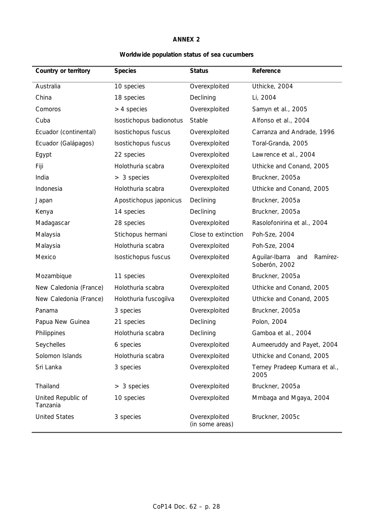# **Worldwide population status of sea cucumbers**

| Country or territory           | <b>Species</b>          | <b>Status</b>                    | Reference                                       |
|--------------------------------|-------------------------|----------------------------------|-------------------------------------------------|
| Australia                      | 10 species              | Overexploited                    | Uthicke, 2004                                   |
| China                          | 18 species              | Declining                        | Li, 2004                                        |
| Comoros                        | $>$ 4 species           | Overexploited                    | Samyn et al., 2005                              |
| Cuba                           | Isostichopus badionotus | Stable                           | Alfonso et al., 2004                            |
| Ecuador (continental)          | Isostichopus fuscus     | Overexploited                    | Carranza and Andrade, 1996                      |
| Ecuador (Galápagos)            | Isostichopus fuscus     | Overexploited                    | Toral-Granda, 2005                              |
| Egypt                          | 22 species              | Overexploited                    | Lawrence et al., 2004                           |
| Fiji                           | Holothuria scabra       | Overexploited                    | Uthicke and Conand, 2005                        |
| India                          | $> 3$ species           | Overexploited                    | Bruckner, 2005a                                 |
| Indonesia                      | Holothuria scabra       | Overexploited                    | Uthicke and Conand, 2005                        |
| Japan                          | Apostichopus japonicus  | Declining                        | Bruckner, 2005a                                 |
| Kenya                          | 14 species              | Declining                        | Bruckner, 2005a                                 |
| Madagascar                     | 28 species              | Overexploited                    | Rasolofonirina et al., 2004                     |
| Malaysia                       | Stichopus hermani       | Close to extinction              | Poh-Sze, 2004                                   |
| Malaysia                       | Holothuria scabra       | Overexploited                    | Poh-Sze, 2004                                   |
| Mexico                         | Isostichopus fuscus     | Overexploited                    | Aguilar-Ibarra and<br>Ramírez-<br>Soberón, 2002 |
| Mozambique                     | 11 species              | Overexploited                    | Bruckner, 2005a                                 |
| New Caledonia (France)         | Holothuria scabra       | Overexploited                    | Uthicke and Conand, 2005                        |
| New Caledonia (France)         | Holothuria fuscogilva   | Overexploited                    | Uthicke and Conand, 2005                        |
| Panama                         | 3 species               | Overexploited                    | Bruckner, 2005a                                 |
| Papua New Guinea               | 21 species              | Declining                        | Polon, 2004                                     |
| Philippines                    | Holothuria scabra       | Declining                        | Gamboa et al., 2004                             |
| Seychelles                     | 6 species               | Overexploited                    | Aumeeruddy and Payet, 2004                      |
| Solomon Islands                | Holothuria scabra       | Overexploited                    | Uthicke and Conand, 2005                        |
| Sri Lanka                      | 3 species               | Overexploited                    | Terney Pradeep Kumara et al.,<br>2005           |
| Thailand                       | $> 3$ species           | Overexploited                    | Bruckner, 2005a                                 |
| United Republic of<br>Tanzania | 10 species              | Overexploited                    | Mmbaga and Mgaya, 2004                          |
| <b>United States</b>           | 3 species               | Overexploited<br>(in some areas) | Bruckner, 2005c                                 |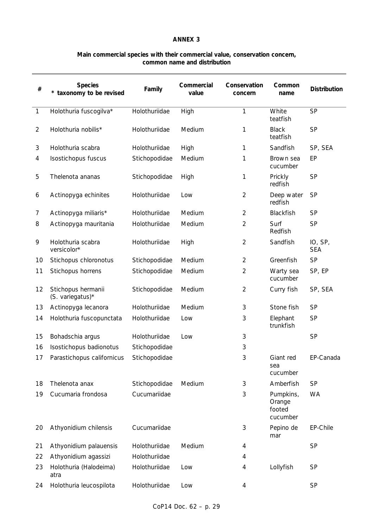# **Main commercial species with their commercial value, conservation concern, common name and distribution**

| $\#$                        | <b>Species</b><br>* taxonomy to be revised | Family        | Commercial<br>value | Conservation<br>concern | Common<br>name                            | <b>Distribution</b>   |
|-----------------------------|--------------------------------------------|---------------|---------------------|-------------------------|-------------------------------------------|-----------------------|
| $\mathcal{I}$               | Holothuria fuscogilva*                     | Holothuriidae | High                | 1                       | White<br>teatfish                         | <b>SP</b>             |
| $\mathcal{L}_{\mathcal{L}}$ | Holothuria nobilis*                        | Holothuriidae | Medium              | 1                       | <b>Black</b><br>teatfish                  | <b>SP</b>             |
| 3                           | Holothuria scabra                          | Holothuriidae | High                | 1                       | Sandfish                                  | SP, SEA               |
| 4                           | Isostichopus fuscus                        | Stichopodidae | Medium              | 1                       | Brown sea<br>cucumber                     | EP                    |
| 5                           | Thelenota ananas                           | Stichopodidae | High                | 1                       | Prickly<br>redfish                        | <b>SP</b>             |
| 6                           | Actinopyga echinites                       | Holothuriidae | Low                 | $\overline{2}$          | Deep water<br>redfish                     | <b>SP</b>             |
| 7                           | Actinopyga miliaris*                       | Holothuriidae | Medium              | $\overline{2}$          | Blackfish                                 | <b>SP</b>             |
| 8                           | Actinopyga mauritania                      | Holothuriidae | Medium              | $\overline{2}$          | Surf<br>Redfish                           | <b>SP</b>             |
| 9                           | Holothuria scabra<br>versicolor*           | Holothuriidae | High                | $\overline{2}$          | Sandfish                                  | IO, SP,<br><b>SEA</b> |
| 10                          | Stichopus chloronotus                      | Stichopodidae | Medium              | $\overline{2}$          | Greenfish                                 | <b>SP</b>             |
| 11                          | Stichopus horrens                          | Stichopodidae | Medium              | 2                       | Warty sea<br>cucumber                     | SP, EP                |
| 12                          | Stichopus hermanii<br>(S. variegatus) $*$  | Stichopodidae | Medium              | $\overline{c}$          | Curry fish                                | SP, SEA               |
| 13                          | Actinopyga lecanora                        | Holothuriidae | Medium              | 3                       | Stone fish                                | <b>SP</b>             |
| 14                          | Holothuria fuscopunctata                   | Holothuriidae | Low                 | 3                       | Elephant<br>trunkfish                     | <b>SP</b>             |
| 15                          | Bohadschia argus                           | Holothuriidae | Low                 | 3                       |                                           | <b>SP</b>             |
| 16                          | Isostichopus badionotus                    | Stichopodidae |                     | 3                       |                                           |                       |
| 17                          | Parastichopus californicus                 | Stichopodidae |                     | 3                       | Giant red<br>sea<br>cucumber              | EP-Canada             |
| 18                          | Thelenota anax                             | Stichopodidae | Medium              | 3                       | Amberfish                                 | <b>SP</b>             |
| 19                          | Cucumaria frondosa                         | Cucumariidae  |                     | 3                       | Pumpkins,<br>Orange<br>footed<br>cucumber | <b>WA</b>             |
| 20                          | Athyonidium chilensis                      | Cucumariidae  |                     | 3                       | Pepino de<br>mar                          | EP-Chile              |
| 21                          | Athyonidium palauensis                     | Holothuriidae | Medium              | 4                       |                                           | <b>SP</b>             |
| 22                          | Athyonidium agassizi                       | Holothuriidae |                     | 4                       |                                           |                       |
| 23                          | Holothuria (Halodeima)<br>atra             | Holothuriidae | Low                 | 4                       | Lollyfish                                 | <b>SP</b>             |
| 24                          | Holothuria leucospilota                    | Holothuriidae | Low                 | 4                       |                                           | <b>SP</b>             |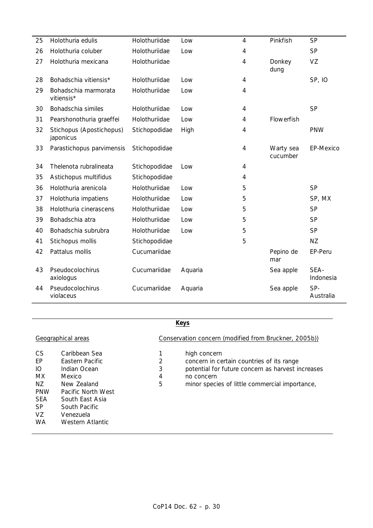| 25 | Holothuria edulis                     | Holothuriidae | Low     | 4              | Pinkfish              | <b>SP</b>         |
|----|---------------------------------------|---------------|---------|----------------|-----------------------|-------------------|
| 26 | Holothuria coluber                    | Holothuriidae | Low     | 4              |                       | <b>SP</b>         |
| 27 | Holothuria mexicana                   | Holothuriidae |         | 4              | Donkey<br>dung        | VZ                |
| 28 | Bohadschia vitiensis*                 | Holothuriidae | Low     | 4              |                       | <b>SP, IO</b>     |
| 29 | Bohadschia marmorata<br>vitiensis*    | Holothuriidae | Low     | 4              |                       |                   |
| 30 | Bohadschia similes                    | Holothuriidae | Low     | 4              |                       | <b>SP</b>         |
| 31 | Pearshonothuria graeffei              | Holothuriidae | Low     | 4              | Flowerfish            |                   |
| 32 | Stichopus (Apostichopus)<br>japonicus | Stichopodidae | High    | 4              |                       | <b>PNW</b>        |
| 33 | Parastichopus parvimensis             | Stichopodidae |         | $\overline{4}$ | Warty sea<br>cucumber | EP-Mexico         |
| 34 | Thelenota rubralineata                | Stichopodidae | Low     | 4              |                       |                   |
| 35 | Astichopus multifidus                 | Stichopodidae |         | 4              |                       |                   |
| 36 | Holothuria arenicola                  | Holothuriidae | Low     | 5              |                       | <b>SP</b>         |
| 37 | Holothuria impatiens                  | Holothuriidae | Low     | 5              |                       | SP, MX            |
| 38 | Holothuria cinerascens                | Holothuriidae | Low     | 5              |                       | <b>SP</b>         |
| 39 | Bohadschia atra                       | Holothuriidae | Low     | 5              |                       | <b>SP</b>         |
| 40 | Bohadschia subrubra                   | Holothuriidae | Low     | 5              |                       | <b>SP</b>         |
| 41 | Stichopus mollis                      | Stichopodidae |         | 5              |                       | <b>NZ</b>         |
| 42 | Pattalus mollis                       | Cucumariidae  |         |                | Pepino de<br>mar      | EP-Peru           |
| 43 | Pseudocolochirus<br>axiologus         | Cucumariidae  | Aquaria |                | Sea apple             | SEA-<br>Indonesia |
| 44 | Pseudocolochirus<br>violaceus         | Cucumariidae  | Aquaria |                | Sea apple             | SP-<br>Australia  |

# **Keys**

|            | Geographical areas |   | Conservation concern (modified from Bruckner, 2005b)) |
|------------|--------------------|---|-------------------------------------------------------|
| CS         | Caribbean Sea      |   | high concern                                          |
| EP         | Eastern Pacific    | 2 | concern in certain countries of its range             |
| IО         | Indian Ocean       | 3 | potential for future concern as harvest increases     |
| МX         | Mexico             | 4 | no concern                                            |
| ΝZ         | New Zealand        | 5 | minor species of little commercial importance,        |
| <b>PNW</b> | Pacific North West |   |                                                       |
| <b>SEA</b> | South East Asia    |   |                                                       |
| SP.        | South Pacific      |   |                                                       |
| VZ         | Venezuela          |   |                                                       |
| WA         | Western Atlantic   |   |                                                       |

# CoP14 Doc. 62 – p. 30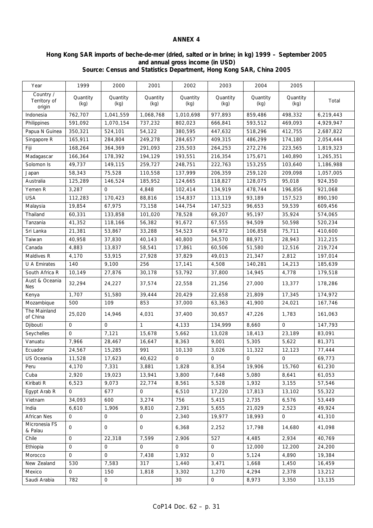## **Hong Kong SAR imports of beche-de-mer (dried, salted or in brine; in kg) 1999 – September 2005 and annual gross income (in USD) Source: Census and Statistics Department, Hong Kong SAR, China 2005**

| Country /<br>Quantity<br>Quantity<br>Quantity<br>Quantity<br>Quantity<br>Quantity<br>Quantity<br>Territory of<br>Total<br>(kg)<br>(kg)<br>(kg)<br>(kg)<br>(kg)<br>(kg)<br>(kg)<br>origin<br>498,332<br>762,707<br>1,041,559<br>1,068,768<br>1,010,698<br>977,893<br>859,486<br>6,219,443<br>Indonesia<br>591,092<br>1,070,154<br>737,232<br>802,023<br>593,512<br>469,093<br>4,929,947<br>Philippines<br>666,841<br>350,321<br>524,101<br>54,122<br>380,595<br>447,632<br>518,296<br>412,755<br>Papua N Guinea<br>2,687,822<br>165,911<br>249,278<br>174,180<br>2,054,444<br>Singapore R<br>284,804<br>284,657<br>409,315<br>486,299<br>Fiji<br>168,264<br>364,369<br>291,093<br>235,503<br>264,253<br>272,276<br>223,565<br>1,819,323<br>166,364<br>178,392<br>194,129<br>193,551<br>216,354<br>175,671<br>140,890<br>Madagascar<br>1,265,351 |
|------------------------------------------------------------------------------------------------------------------------------------------------------------------------------------------------------------------------------------------------------------------------------------------------------------------------------------------------------------------------------------------------------------------------------------------------------------------------------------------------------------------------------------------------------------------------------------------------------------------------------------------------------------------------------------------------------------------------------------------------------------------------------------------------------------------------------------------------|
|                                                                                                                                                                                                                                                                                                                                                                                                                                                                                                                                                                                                                                                                                                                                                                                                                                                |
|                                                                                                                                                                                                                                                                                                                                                                                                                                                                                                                                                                                                                                                                                                                                                                                                                                                |
|                                                                                                                                                                                                                                                                                                                                                                                                                                                                                                                                                                                                                                                                                                                                                                                                                                                |
|                                                                                                                                                                                                                                                                                                                                                                                                                                                                                                                                                                                                                                                                                                                                                                                                                                                |
|                                                                                                                                                                                                                                                                                                                                                                                                                                                                                                                                                                                                                                                                                                                                                                                                                                                |
|                                                                                                                                                                                                                                                                                                                                                                                                                                                                                                                                                                                                                                                                                                                                                                                                                                                |
|                                                                                                                                                                                                                                                                                                                                                                                                                                                                                                                                                                                                                                                                                                                                                                                                                                                |
| 49,737<br>259,727<br>149,115<br>248,751<br>222,763<br>153,255<br>103,640<br>Solomon Is<br>1,186,988                                                                                                                                                                                                                                                                                                                                                                                                                                                                                                                                                                                                                                                                                                                                            |
| 58,343<br>75,528<br>110,558<br>137,999<br>206,359<br>259,120<br>209,098<br>1,057,005<br>Japan                                                                                                                                                                                                                                                                                                                                                                                                                                                                                                                                                                                                                                                                                                                                                  |
| 125,289<br>185,952<br>Australia<br>146,524<br>124,665<br>118,827<br>128,075<br>95,018<br>924,350                                                                                                                                                                                                                                                                                                                                                                                                                                                                                                                                                                                                                                                                                                                                               |
| Yemen R<br>3,287<br>0<br>4,848<br>102,414<br>134,919<br>478,744<br>196,856<br>921,068                                                                                                                                                                                                                                                                                                                                                                                                                                                                                                                                                                                                                                                                                                                                                          |
| <b>USA</b><br>112,283<br>170,423<br>88,816<br>154,837<br>113,119<br>93,189<br>157,523<br>890,190                                                                                                                                                                                                                                                                                                                                                                                                                                                                                                                                                                                                                                                                                                                                               |
| 19,854<br>67,975<br>73,158<br>144,754<br>147,523<br>96,653<br>59,539<br>609,456<br>Malaysia                                                                                                                                                                                                                                                                                                                                                                                                                                                                                                                                                                                                                                                                                                                                                    |
| Thailand<br>60,331<br>133,858<br>101,020<br>78,528<br>69,207<br>95,197<br>35,924<br>574,065                                                                                                                                                                                                                                                                                                                                                                                                                                                                                                                                                                                                                                                                                                                                                    |
| 41,352<br>91,672<br>Tanzania<br>118,166<br>56,382<br>67,555<br>94.509<br>50,598<br>520,234                                                                                                                                                                                                                                                                                                                                                                                                                                                                                                                                                                                                                                                                                                                                                     |
| Sri Lanka<br>21,381<br>53,867<br>33,288<br>54,523<br>75,711<br>64,972<br>106,858<br>410,600                                                                                                                                                                                                                                                                                                                                                                                                                                                                                                                                                                                                                                                                                                                                                    |
| Taiwan<br>40,958<br>37,830<br>40,143<br>40,800<br>34,570<br>88,971<br>28,943<br>312,215                                                                                                                                                                                                                                                                                                                                                                                                                                                                                                                                                                                                                                                                                                                                                        |
| 4,883<br>13,837<br>58,541<br>17,861<br>51,580<br>12,516<br>219,724<br>Canada<br>60,506                                                                                                                                                                                                                                                                                                                                                                                                                                                                                                                                                                                                                                                                                                                                                         |
| Maldives R<br>4,170<br>53,915<br>27,928<br>37,829<br>49,013<br>21,347<br>2,812<br>197,014                                                                                                                                                                                                                                                                                                                                                                                                                                                                                                                                                                                                                                                                                                                                                      |
| 9,100<br>256<br>17,141<br>14,213<br>U A Emirates<br>140<br>4,508<br>140,281<br>185,639                                                                                                                                                                                                                                                                                                                                                                                                                                                                                                                                                                                                                                                                                                                                                         |
| South Africa R<br>10,149<br>30,178<br>27,876<br>53,792<br>37,800<br>14,945<br>4,778<br>179,518                                                                                                                                                                                                                                                                                                                                                                                                                                                                                                                                                                                                                                                                                                                                                 |
| Aust & Oceania<br>32,294<br>24,227<br>37,574<br>22,558<br>21,256<br>27,000<br>13,377<br>178,286<br><b>Nes</b>                                                                                                                                                                                                                                                                                                                                                                                                                                                                                                                                                                                                                                                                                                                                  |
| 1,707<br>51,580<br>39,444<br>20,429<br>22,658<br>21,809<br>17,345<br>Kenya<br>174,972                                                                                                                                                                                                                                                                                                                                                                                                                                                                                                                                                                                                                                                                                                                                                          |
| Mozambique<br>500<br>109<br>853<br>37,000<br>63,363<br>41,900<br>167,746<br>24,021                                                                                                                                                                                                                                                                                                                                                                                                                                                                                                                                                                                                                                                                                                                                                             |
| The Mainland<br>25,020<br>14,946<br>4,031<br>37,400<br>30,657<br>1,783<br>161,063<br>47,226<br>of China                                                                                                                                                                                                                                                                                                                                                                                                                                                                                                                                                                                                                                                                                                                                        |
| $\mathbf{O}$<br>$\mathbf{O}$<br>$\mathbf{1}$<br>4,133<br>134,999<br>8,660<br>$\Omega$<br>147,793<br>Djibouti                                                                                                                                                                                                                                                                                                                                                                                                                                                                                                                                                                                                                                                                                                                                   |
| 7,121<br>Seychelles<br>$\mathbf{O}$<br>15,678<br>5,662<br>13,028<br>18,413<br>23,189<br>83,091                                                                                                                                                                                                                                                                                                                                                                                                                                                                                                                                                                                                                                                                                                                                                 |
| 7,966<br>28,467<br>8,363<br>9,001<br>5,305<br>5,622<br>81,371<br>Vanuatu<br>16,647                                                                                                                                                                                                                                                                                                                                                                                                                                                                                                                                                                                                                                                                                                                                                             |
| 15,285<br>991<br>3,026<br>11,322<br>Ecuador<br>24,567<br>10,130<br>12,123<br>77,444                                                                                                                                                                                                                                                                                                                                                                                                                                                                                                                                                                                                                                                                                                                                                            |
| 69,773<br>US Oceania<br>11,528<br>17,623<br>40,622<br>0<br>0<br>0<br>0                                                                                                                                                                                                                                                                                                                                                                                                                                                                                                                                                                                                                                                                                                                                                                         |
| Peru<br>4,170<br>7,331<br>3,881<br>1,828<br>8,354<br>19,906<br>15,760<br>61,230                                                                                                                                                                                                                                                                                                                                                                                                                                                                                                                                                                                                                                                                                                                                                                |
| 2,920<br>19,023<br>13,941<br>3,800<br>7,648<br>5,080<br>8,641<br>61,053<br>Cuba                                                                                                                                                                                                                                                                                                                                                                                                                                                                                                                                                                                                                                                                                                                                                                |
| 5,528<br>Kiribati R<br>6,523<br>9,073<br>22,774<br>8,561<br>1,932<br>3,155<br>57,546                                                                                                                                                                                                                                                                                                                                                                                                                                                                                                                                                                                                                                                                                                                                                           |
| Egypt Arab R<br>677<br>0<br>6,510<br>17,220<br>17,813<br>13,102<br>55,322<br>0                                                                                                                                                                                                                                                                                                                                                                                                                                                                                                                                                                                                                                                                                                                                                                 |
| Vietnam<br>34,093<br>600<br>3,274<br>756<br>5,415<br>2,735<br>6,576<br>53,449                                                                                                                                                                                                                                                                                                                                                                                                                                                                                                                                                                                                                                                                                                                                                                  |
| India<br>6,610<br>1,906<br>2,391<br>5,655<br>21,029<br>2,523<br>49,924<br>9,810                                                                                                                                                                                                                                                                                                                                                                                                                                                                                                                                                                                                                                                                                                                                                                |
| African Nes<br>19,977<br>18,993<br>$\mathbf 0$<br>41,310<br>0<br>0<br>0<br>2,340                                                                                                                                                                                                                                                                                                                                                                                                                                                                                                                                                                                                                                                                                                                                                               |
| Micronesia FS<br>$\mathsf{O}$<br>0<br>0<br>6,368<br>2,252<br>17,798<br>14,680<br>41,098<br>& Palau                                                                                                                                                                                                                                                                                                                                                                                                                                                                                                                                                                                                                                                                                                                                             |
| $\mathsf O$<br>7,599<br>527<br>40,769<br>Chile<br>22,318<br>2,906<br>4,485<br>2,934                                                                                                                                                                                                                                                                                                                                                                                                                                                                                                                                                                                                                                                                                                                                                            |
| $\mathsf{O}$<br>$\mathbf{O}$<br>$\mathsf{O}$<br>0<br>$\mathsf{O}$<br>12,000<br>12,200<br>24,200<br>Ethiopia                                                                                                                                                                                                                                                                                                                                                                                                                                                                                                                                                                                                                                                                                                                                    |
| $\mathsf{O}$<br>$\mathsf{O}$<br>$\mathsf{O}$<br>7,438<br>1,932<br>5,124<br>19,384<br>Morocco<br>4,890                                                                                                                                                                                                                                                                                                                                                                                                                                                                                                                                                                                                                                                                                                                                          |
| 530<br>7,583<br>3,471<br>New Zealand<br>317<br>1,440<br>1,668<br>1,450<br>16,459                                                                                                                                                                                                                                                                                                                                                                                                                                                                                                                                                                                                                                                                                                                                                               |
| Mexico<br>0<br>150<br>1,818<br>3,302<br>1,270<br>4,294<br>2,378<br>13,212                                                                                                                                                                                                                                                                                                                                                                                                                                                                                                                                                                                                                                                                                                                                                                      |
| Saudi Arabia<br>782<br>$\mathsf{O}$<br>$\mathsf{O}$<br>8,973<br>3,350<br>13,135<br>30                                                                                                                                                                                                                                                                                                                                                                                                                                                                                                                                                                                                                                                                                                                                                          |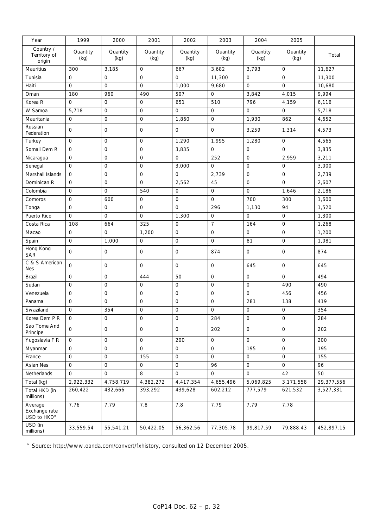| Year                                    | 1999             | 2000                | 2001             | 2002                | 2003                | 2004             | 2005             |            |
|-----------------------------------------|------------------|---------------------|------------------|---------------------|---------------------|------------------|------------------|------------|
| Country /<br>Territory of<br>origin     | Quantity<br>(kg) | Quantity<br>(kg)    | Quantity<br>(kg) | Quantity<br>(kg)    | Quantity<br>(kg)    | Quantity<br>(kg) | Quantity<br>(kg) | Total      |
| Mauritius                               | 300              | 3,185               | $\mathsf O$      | 667                 | 3,682               | 3,793            | $\mathbf{O}$     | 11,627     |
| Tunisia                                 | 0                | 0                   | $\mathsf{O}$     | 0                   | 11,300              | $\mathbf 0$      | $\mathsf{O}$     | 11,300     |
| Haiti                                   | $\mathbf{O}$     | $\overline{0}$      | $\overline{O}$   | 1,000               | 9,680               | $\mathbf{O}$     | $\overline{O}$   | 10,680     |
| Oman                                    | 180              | 960                 | 490              | 507                 | $\mathbf{O}$        | 3,842            | 4,015            | 9,994      |
| Korea R                                 | $\mathbf 0$      | $\mathbf 0$         | 0                | 651                 | 510                 | 796              | 4,159            | 6,116      |
| W Samoa                                 | 5,718            | $\mathbf 0$         | 0                | $\mathsf{O}\xspace$ | 0                   | $\mathbf 0$      | $\mathsf{O}$     | 5,718      |
| Mauritania                              | $\mathbf 0$      | $\mathsf{O}$        | 0                | 1,860               | 0                   | 1,930            | 862              | 4,652      |
| Russian<br>Federation                   | $\mathbf 0$      | $\mathbf 0$         | 0                | $\mathsf{O}$        | $\mathbf{O}$        | 3,259            | 1,314            | 4,573      |
| Turkey                                  | $\mathbf 0$      | $\mathbf 0$         | 0                | 1,290               | 1,995               | 1,280            | $\mathsf{O}$     | 4,565      |
| Somali Dem R                            | $\mathsf{O}$     | $\mathbf 0$         | 0                | 3,835               | 0                   | $\mathbf 0$      | $\mathsf{O}$     | 3,835      |
| Nicaragua                               | $\mathbf 0$      | $\mathsf O$         | 0                | $\mathbf{O}$        | 252                 | $\mathsf{O}$     | 2,959            | 3,211      |
| Senegal                                 | $\mathbf 0$      | $\mathbf 0$         | 0                | 3,000               | 0                   | $\mathbf 0$      | $\mathbf{O}$     | 3,000      |
| Marshall Islands                        | 0                | $\mathbf 0$         | $\mathsf{O}$     | 0                   | 2,739               | $\mathbf 0$      | $\mathsf{O}$     | 2,739      |
| Dominican R                             | $\mathbf 0$      | $\mathsf O$         | $\mathsf{O}$     | 2,562               | 45                  | $\mathbf 0$      | $\mathbf{O}$     | 2,607      |
| Colombia                                | $\mathbf{O}$     | $\mathbf{O}$        | 540              | $\mathsf{O}$        | 0                   | $\overline{O}$   | 1,646            | 2,186      |
| Comoros                                 | $\mathbf 0$      | 600                 | 0                | 0                   | $\overline{O}$      | 700              | 300              | 1,600      |
| Tonga                                   | $\mathbf 0$      | $\mathsf O$         | $\mathsf O$      | 0                   | 296                 | 1,130            | 94               | 1,520      |
| Puerto Rico                             | $\mathsf O$      | $\mathsf O$         | $\mathsf O$      | 1,300               | $\mathsf{O}$        | $\mathsf O$      | $\mathsf{O}$     | 1,300      |
| Costa Rica                              | 108              | 664                 | 325              | 0                   | 7                   | 164              | $\mathsf{O}$     | 1,268      |
| Macao                                   | $\mathsf O$      | $\mathbf{O}$        | 1,200            | $\mathsf{O}\xspace$ | $\mathsf{O}\xspace$ | $\mathbf{O}$     | $\mathbf{O}$     | 1,200      |
| Spain                                   | $\mathbf{O}$     | 1,000               | $\overline{O}$   | $\mathbf{O}$        | $\mathbf{O}$        | 81               | $\mathbf{O}$     | 1,081      |
| Hong Kong<br><b>SAR</b>                 | $\mathbf{O}$     | $\mathsf{O}\xspace$ | $\mathsf O$      | $\mathsf{O}$        | 874                 | $\mathsf O$      | $\mathsf{O}$     | 874        |
| C & S American<br><b>Nes</b>            | $\overline{O}$   | 0                   | $\overline{O}$   | $\mathsf{O}$        | 0                   | 645              | $\mathsf O$      | 645        |
| Brazil                                  | $\mathbf 0$      | $\mathbf 0$         | 444              | 50                  | $\mathbf{O}$        | $\mathbf 0$      | $\overline{O}$   | 494        |
| Sudan                                   | $\mathsf O$      | $\mathsf O$         | $\mathsf O$      | $\mathsf O$         | $\mathbf{O}$        | $\overline{O}$   | 490              | 490        |
| Venezuela                               | 0                | $\mathbf 0$         | 0                | 0                   | 0                   | $\mathsf{O}$     | 456              | 456        |
| Panama                                  | $\mathbf 0$      | 0                   | 0                | 0                   | $\mathsf{O}$        | 281              | 138              | 419        |
| Swaziland                               | $\mathsf{O}$     | 354                 | 0                | $\mathsf O$         | $\mathsf O$         | $\mathsf O$      | $\mathsf{O}$     | 354        |
| Korea Dem P R                           | $\mathsf{O}$     | 0                   | 0                | 0                   | 284                 | 0                | 0                | 284        |
| Sao Tome And<br>Principe                | $\mathbf{O}$     | $\mathbf 0$         | $\overline{O}$   | $\mathsf{O}$        | 202                 | $\mathbf{O}$     | $\mathbf{O}$     | 202        |
| Yugoslavia F R                          | 0                | $\mathbf 0$         | $\mathsf{O}$     | 200                 | $\mathsf O$         | $\mathsf O$      | $\mathsf{O}$     | 200        |
| Myanmar                                 | $\mathsf O$      | $\mathbf 0$         | $\mathsf O$      | $\mathsf{O}$        | 0                   | 195              | $\mathsf{O}$     | 195        |
| France                                  | $\mathsf O$      | $\mathsf O$         | 155              | $\mathbf{O}$        | $\overline{O}$      | $\overline{O}$   | $\overline{O}$   | 155        |
| Asian Nes                               | $\mathsf{O}$     | $\mathbf 0$         | $\mathsf{O}$     | $\mathsf{O}$        | 96                  | $\mathbf 0$      | $\mathsf{O}$     | 96         |
| Netherlands                             | $\mathbf 0$      | $\mathsf{O}$        | 8                | $\mathsf{O}$        | $\mathsf{O}$        | $\mathbf 0$      | 42               | 50         |
| Total (kg)                              | 2,922,332        | 4,758,719           | 4,382,272        | 4,417,354           | 4,655,496           | 5,069,825        | 3,171,558        | 29,377,556 |
| Total HKD (in<br>millions)              | 260,422          | 432,666             | 393,292          | 439,628             | 602,212             | 777,579          | 621,532          | 3,527,331  |
| Average<br>Exchange rate<br>USD to HKD° | 7.76             | 7.79                | 7.8              | 7.8                 | 7.79                | 7.79             | 7.78             |            |
| USD (in<br>millions)                    | 33,559.54        | 55,541.21           | 50,422.05        | 56,362.56           | 77,305.78           | 99,817.59        | 79,888.43        | 452,897.15 |

° Source: http://www.oanda.com/convert/fxhistory, consulted on 12 December 2005.